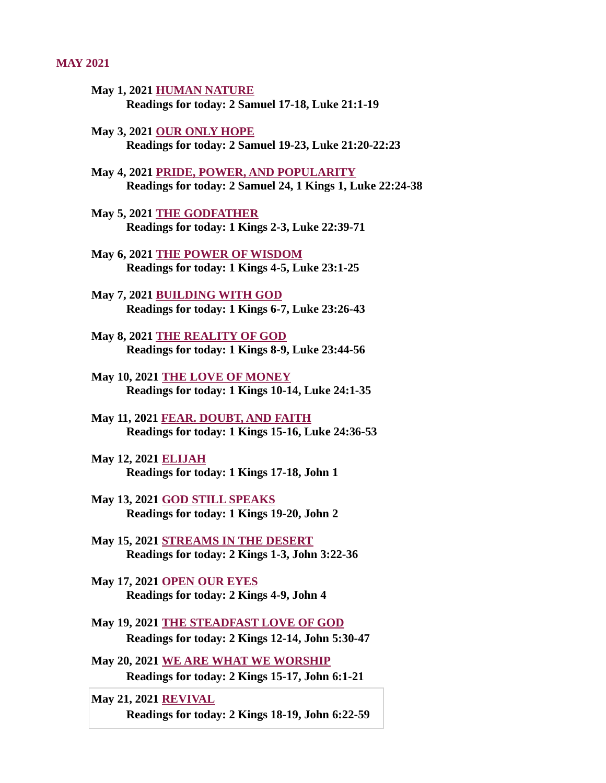#### MAY 2021

- May 1, 2021 HUMAN NATURE [Readings for today: 2 Samuel 17-18, Luke 21:1-19](#page-2-0)
- May 3, 2021 OUR ONLY HOPE [Readings for today: 2 Samuel 19-23, Luke 21:20-22:23](#page-3-0)
- May 4, 2021 PRIDE, POWER, AND POPULARITY [Readings for today: 2 Samuel 24, 1 Kings 1, Luke 22:24-38](#page-4-0)
- May 5, 2021 THE GODFATHER [Readings for today: 1 Kings 2-3, Luke 22:39-71](#page-6-0)
- May 6, 2021 THE POWER OF WISDOM [Readings for today: 1 Kings 4-5, Luke 23:1-25](#page-7-0)
- May 7, 2021 BUILDING WITH GOD [Readings for today: 1 Kings 6-7, Luke 23:26-43](#page-9-0)
- May 8, 2021 THE REALITY OF GOD [Readings for today: 1 Kings 8-9, Luke 23:44-56](#page-10-0)
- May 10, 2021 THE LOVE OF MONEY [Readings for today: 1 Kings 10-14, Luke 24:1-35](#page-12-0)
- May 11, 2021 FEAR. DOUBT, AND FAITH [Readings for today: 1 Kings 15-16, Luke 24:36-53](#page-13-0)
- May 12, 2021 ELIJAH [Readings for today: 1 Kings 17-18, John 1](#page-14-0)
- May 13, 2021 GOD STILL SPEAKS [Readings for today: 1 Kings 19-20, John 2](#page-16-0)
- May 15, 2021 STREAMS IN THE DESERT [Readings for today: 2 Kings 1-3, John 3:22-36](#page-17-0)
- May 17, 2021 OPEN OUR EYES [Readings for today: 2 Kings 4-9, John 4](#page-18-0)
- [May 19, 2021 THE STEADFAST LOVE OF GOD](#page-19-0) Readings for today: 2 Kings 12-14, John 5:30-47
- [May 20, 2021 WE ARE WHAT WE WORSHIP](#page-20-0) Readings for today: 2 Kings 15-17, John 6:1-21
- May 21, 2021 REVIVAL [Readings for today: 2 Kings 18-19, John 6:22-59](#page-22-0)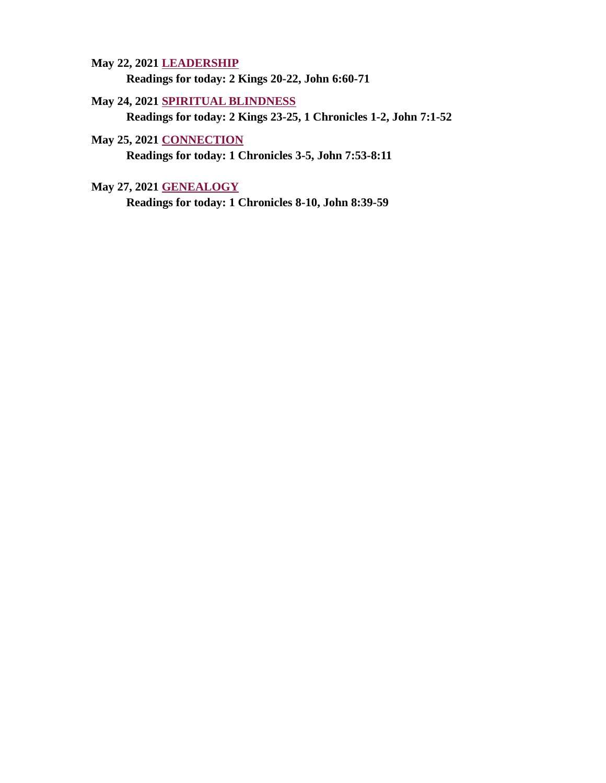May 22, 2021 LEADERSHIP [Readings for today: 2 Kings 20-22, John 6:60-71](#page-24-0)

# May 24, 2021 SPIRITUAL BLINDNESS

[Readings for today: 2 Kings 23-25, 1 Chronicles 1-2, John 7:1-52](#page-25-0)

May 25, 2021 CONNECTION [Readings for today: 1 Chronicles 3-5, John 7:53-8:11](#page-26-0)

May 27, 2021 GENEALOGY

[Readings for today: 1 Chronicles 8-10, John 8:39-59](#page-28-0)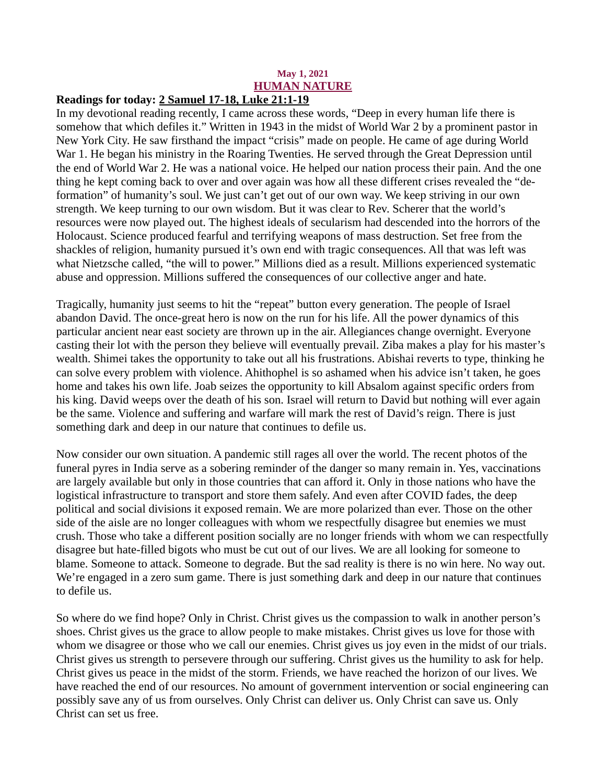# May 1, 2021 HUMAN NATURE

# <span id="page-2-0"></span>Readings for today[: 2 Samuel 17-18, Luke 21:1-19](https://www.biblegateway.com/passage/?search=2+Samuel+17-18%2C+Luke+21%3A1-19&version=ESV)

In my devotional reading recently, I came across these words, "Deep in every human life there is somehow that which defiles it." Written in 1943 in the midst of World War 2 by a prominent pastor in New York City. He saw firsthand the impact "crisis" made on people. He came of age during World War 1. He began his ministry in the Roaring Twenties. He served through the Great Depression until the end of World War 2. He was a national voice. He helped our nation process their pain. And the one thing he kept coming back to over and over again was how all these different crises revealed the "deformation" of humanity's soul. We just can't get out of our own way. We keep striving in our own strength. We keep turning to our own wisdom. But it was clear to Rev. Scherer that the world's resources were now played out. The highest ideals of secularism had descended into the horrors of the Holocaust. Science produced fearful and terrifying weapons of mass destruction. Set free from the shackles of religion, humanity pursued it's own end with tragic consequences. All that was left was what Nietzsche called, "the will to power." Millions died as a result. Millions experienced systematic abuse and oppression. Millions suffered the consequences of our collective anger and hate.

Tragically, humanity just seems to hit the "repeat" button every generation. The people of Israel abandon David. The once-great hero is now on the run for his life. All the power dynamics of this particular ancient near east society are thrown up in the air. Allegiances change overnight. Everyone casting their lot with the person they believe will eventually prevail. Ziba makes a play for his master's wealth. Shimei takes the opportunity to take out all his frustrations. Abishai reverts to type, thinking he can solve every problem with violence. Ahithophel is so ashamed when his advice isn't taken, he goes home and takes his own life. Joab seizes the opportunity to kill Absalom against specific orders from his king. David weeps over the death of his son. Israel will return to David but nothing will ever again be the same. Violence and suffering and warfare will mark the rest of David's reign. There is just something dark and deep in our nature that continues to defile us.

Now consider our own situation. A pandemic still rages all over the world. The recent photos of the funeral pyres in India serve as a sobering reminder of the danger so many remain in. Yes, vaccinations are largely available but only in those countries that can afford it. Only in those nations who have the logistical infrastructure to transport and store them safely. And even after COVID fades, the deep political and social divisions it exposed remain. We are more polarized than ever. Those on the other side of the aisle are no longer colleagues with whom we respectfully disagree but enemies we must crush. Those who take a different position socially are no longer friends with whom we can respectfully disagree but hate-filled bigots who must be cut out of our lives. We are all looking for someone to blame. Someone to attack. Someone to degrade. But the sad reality is there is no win here. No way out. We're engaged in a zero sum game. There is just something dark and deep in our nature that continues to defile us.

So where do we find hope? Only in Christ. Christ gives us the compassion to walk in another person's shoes. Christ gives us the grace to allow people to make mistakes. Christ gives us love for those with whom we disagree or those who we call our enemies. Christ gives us joy even in the midst of our trials. Christ gives us strength to persevere through our suffering. Christ gives us the humility to ask for help. Christ gives us peace in the midst of the storm. Friends, we have reached the horizon of our lives. We have reached the end of our resources. No amount of government intervention or social engineering can possibly save any of us from ourselves. Only Christ can deliver us. Only Christ can save us. Only Christ can set us free.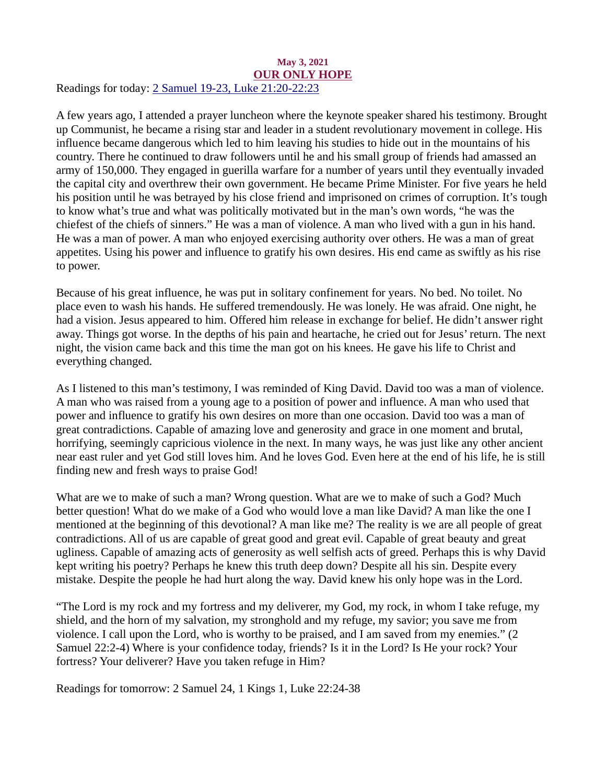#### <span id="page-3-0"></span>May 3, 2021 OUR ONLY HOPE Readings for today: [2 Samuel 19-23, Luke 21:20-22:23](https://www.biblegateway.com/passage/?search=2+Samuel+19-23%2C+Luke+21%3A20-22%3A23&version=ESV)

A few years ago, I attended a prayer luncheon where the keynote speaker shared his testimony. Brought up Communist, he became a rising star and leader in a student revolutionary movement in college. His influence became dangerous which led to him leaving his studies to hide out in the mountains of his country. There he continued to draw followers until he and his small group of friends had amassed an army of 150,000. They engaged in guerilla warfare for a number of years until they eventually invaded the capital city and overthrew their own government. He became Prime Minister. For five years he held his position until he was betrayed by his close friend and imprisoned on crimes of corruption. It's tough to know what's true and what was politically motivated but in the man's own words, "he was the chiefest of the chiefs of sinners." He was a man of violence. A man who lived with a gun in his hand. He was a man of power. A man who enjoyed exercising authority over others. He was a man of great appetites. Using his power and influence to gratify his own desires. His end came as swiftly as his rise to power.

Because of his great influence, he was put in solitary confinement for years. No bed. No toilet. No place even to wash his hands. He suffered tremendously. He was lonely. He was afraid. One night, he had a vision. Jesus appeared to him. Offered him release in exchange for belief. He didn't answer right away. Things got worse. In the depths of his pain and heartache, he cried out for Jesus' return. The next night, the vision came back and this time the man got on his knees. He gave his life to Christ and everything changed.

As I listened to this man's testimony, I was reminded of King David. David too was a man of violence. A man who was raised from a young age to a position of power and influence. A man who used that power and influence to gratify his own desires on more than one occasion. David too was a man of great contradictions. Capable of amazing love and generosity and grace in one moment and brutal, horrifying, seemingly capricious violence in the next. In many ways, he was just like any other ancient near east ruler and yet God still loves him. And he loves God. Even here at the end of his life, he is still finding new and fresh ways to praise God!

What are we to make of such a man? Wrong question. What are we to make of such a God? Much better question! What do we make of a God who would love a man like David? A man like the one I mentioned at the beginning of this devotional? A man like me? The reality is we are all people of great contradictions. All of us are capable of great good and great evil. Capable of great beauty and great ugliness. Capable of amazing acts of generosity as well selfish acts of greed. Perhaps this is why David kept writing his poetry? Perhaps he knew this truth deep down? Despite all his sin. Despite every mistake. Despite the people he had hurt along the way. David knew his only hope was in the Lord.

"The Lord is my rock and my fortress and my deliverer, my God, my rock, in whom I take refuge, my shield, and the horn of my salvation, my stronghold and my refuge, my savior; you save me from violence. I call upon the Lord, who is worthy to be praised, and I am saved from my enemies." (2 Samuel 22:2-4) Where is your confidence today, friends? Is it in the Lord? Is He your rock? Your fortress? Your deliverer? Have you taken refuge in Him?

Readings for tomorrow: 2 Samuel 24, 1 Kings 1, Luke 22:24-38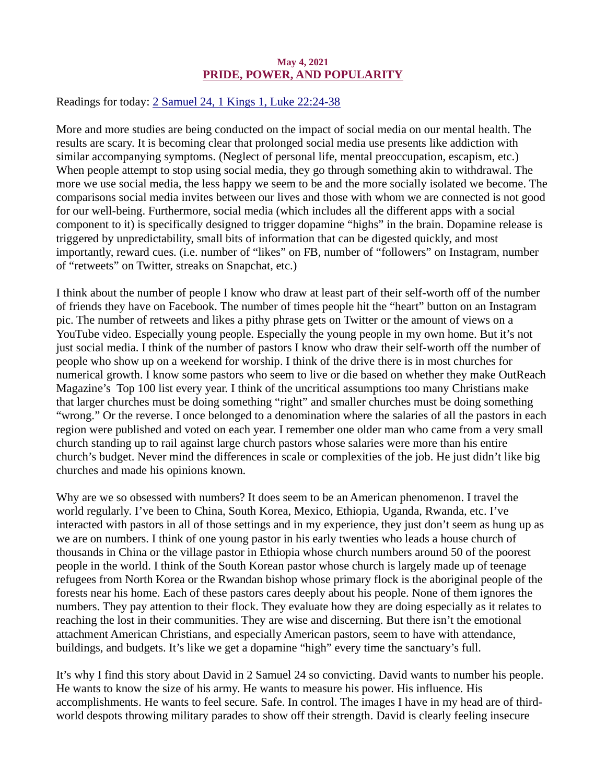#### May 4, 2021 PRIDE, POWER, AND POPULARITY

<span id="page-4-0"></span>Readings for today[: 2 Samuel 24, 1 Kings 1, Luke 22:24-38](https://www.biblegateway.com/passage/?search=2+Samuel+24%2C+1+Kings+1%2C+Luke+22%3A24-38&version=ESV)

More and more studies are being conducted on the impact of social media on our mental health. The results are scary. It is becoming clear that prolonged social media use presents like addiction with similar accompanying symptoms. (Neglect of personal life, mental preoccupation, escapism, etc.) When people attempt to stop using social media, they go through something akin to withdrawal. The more we use social media, the less happy we seem to be and the more socially isolated we become. The comparisons social media invites between our lives and those with whom we are connected is not good for our well-being. Furthermore, social media (which includes all the different apps with a social component to it) is specifically designed to trigger dopamine "highs" in the brain. Dopamine release is triggered by unpredictability, small bits of information that can be digested quickly, and most importantly, reward cues. (i.e. number of "likes" on FB, number of "followers" on Instagram, number of "retweets" on Twitter, streaks on Snapchat, etc.)

I think about the number of people I know who draw at least part of their self-worth off of the number of friends they have on Facebook. The number of times people hit the "heart" button on an Instagram pic. The number of retweets and likes a pithy phrase gets on Twitter or the amount of views on a YouTube video. Especially young people. Especially the young people in my own home. But it's not just social media. I think of the number of pastors I know who draw their self-worth off the number of people who show up on a weekend for worship. I think of the drive there is in most churches for numerical growth. I know some pastors who seem to live or die based on whether they make OutReach Magazine's Top 100 list every year. I think of the uncritical assumptions too many Christians make that larger churches must be doing something "right" and smaller churches must be doing something "wrong." Or the reverse. I once belonged to a denomination where the salaries of all the pastors in each region were published and voted on each year. I remember one older man who came from a very small church standing up to rail against large church pastors whose salaries were more than his entire church's budget. Never mind the differences in scale or complexities of the job. He just didn't like big churches and made his opinions known.

Why are we so obsessed with numbers? It does seem to be an American phenomenon. I travel the world regularly. I've been to China, South Korea, Mexico, Ethiopia, Uganda, Rwanda, etc. I've interacted with pastors in all of those settings and in my experience, they just don't seem as hung up as we are on numbers. I think of one young pastor in his early twenties who leads a house church of thousands in China or the village pastor in Ethiopia whose church numbers around 50 of the poorest people in the world. I think of the South Korean pastor whose church is largely made up of teenage refugees from North Korea or the Rwandan bishop whose primary flock is the aboriginal people of the forests near his home. Each of these pastors cares deeply about his people. None of them ignores the numbers. They pay attention to their flock. They evaluate how they are doing especially as it relates to reaching the lost in their communities. They are wise and discerning. But there isn't the emotional attachment American Christians, and especially American pastors, seem to have with attendance, buildings, and budgets. It's like we get a dopamine "high" every time the sanctuary's full.

It's why I find this story about David in 2 Samuel 24 so convicting. David wants to number his people. He wants to know the size of his army. He wants to measure his power. His influence. His accomplishments. He wants to feel secure. Safe. In control. The images I have in my head are of thirdworld despots throwing military parades to show off their strength. David is clearly feeling insecure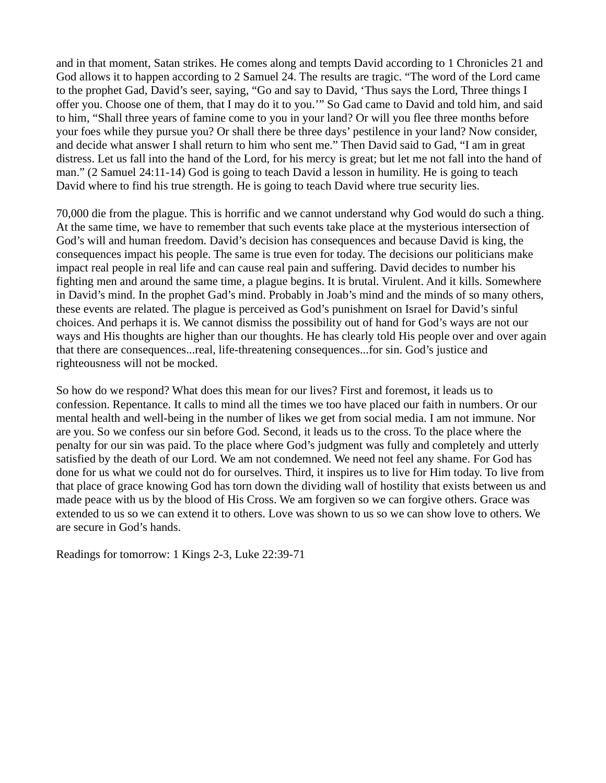and in that moment, Satan strikes. He comes along and tempts David according to 1 Chronicles 21 and God allows it to happen according to 2 Samuel 24. The results are tragic. "The word of the Lord came to the prophet Gad, David's seer, saying, "Go and say to David, 'Thus says the Lord, Three things I offer you. Choose one of them, that I may do it to you.'" So Gad came to David and told him, and said to him, "Shall three years of famine come to you in your land? Or will you flee three months before your foes while they pursue you? Or shall there be three days' pestilence in your land? Now consider, and decide what answer I shall return to him who sent me." Then David said to Gad, "I am in great distress. Let us fall into the hand of the Lord, for his mercy is great; but let me not fall into the hand of man." (2 Samuel 24:11-14) God is going to teach David a lesson in humility. He is going to teach David where to find his true strength. He is going to teach David where true security lies.

70,000 die from the plague. This is horrific and we cannot understand why God would do such a thing. At the same time, we have to remember that such events take place at the mysterious intersection of God's will and human freedom. David's decision has consequences and because David is king, the consequences impact his people. The same is true even for today. The decisions our politicians make impact real people in real life and can cause real pain and suffering. David decides to number his fighting men and around the same time, a plague begins. It is brutal. Virulent. And it kills. Somewhere in David's mind. In the prophet Gad's mind. Probably in Joab's mind and the minds of so many others, these events are related. The plague is perceived as God's punishment on Israel for David's sinful choices. And perhaps it is. We cannot dismiss the possibility out of hand for God's ways are not our ways and His thoughts are higher than our thoughts. He has clearly told His people over and over again that there are consequences...real, life-threatening consequences...for sin. God's justice and righteousness will not be mocked.

So how do we respond? What does this mean for our lives? First and foremost, it leads us to confession. Repentance. It calls to mind all the times we too have placed our faith in numbers. Or our mental health and well-being in the number of likes we get from social media. I am not immune. Nor are you. So we confess our sin before God. Second, it leads us to the cross. To the place where the penalty for our sin was paid. To the place where God's judgment was fully and completely and utterly satisfied by the death of our Lord. We am not condemned. We need not feel any shame. For God has done for us what we could not do for ourselves. Third, it inspires us to live for Him today. To live from that place of grace knowing God has torn down the dividing wall of hostility that exists between us and made peace with us by the blood of His Cross. We am forgiven so we can forgive others. Grace was extended to us so we can extend it to others. Love was shown to us so we can show love to others. We are secure in God's hands.

Readings for tomorrow: 1 Kings 2-3, Luke 22:39-71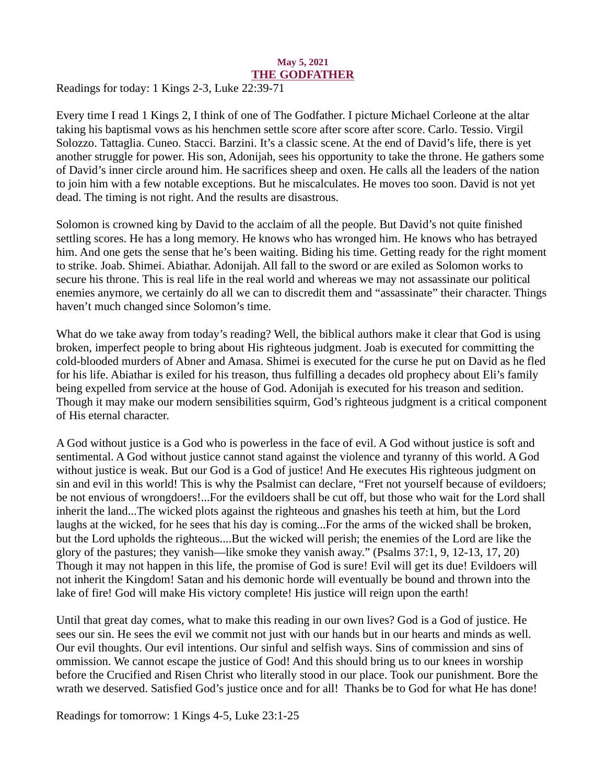#### May 5, 2021 THE GODFATHER

<span id="page-6-0"></span>Readings for today: [1 Kings 2-3, Luke 22:39-71](https://www.biblegateway.com/passage/?search=1+Kings+2-3%3B+Luke+22%3A39-71&version=ESV)

Every time I read 1 Kings 2, I think of one of The Godfather. I picture Michael Corleone at the altar taking his baptismal vows as his henchmen settle score after score after score. Carlo. Tessio. Virgil Solozzo. Tattaglia. Cuneo. Stacci. Barzini. It's a classic scene. At the end of David's life, there is yet another struggle for power. His son, Adonijah, sees his opportunity to take the throne. He gathers some of David's inner circle around him. He sacrifices sheep and oxen. He calls all the leaders of the nation to join him with a few notable exceptions. But he miscalculates. He moves too soon. David is not yet dead. The timing is not right. And the results are disastrous.

Solomon is crowned king by David to the acclaim of all the people. But David's not quite finished settling scores. He has a long memory. He knows who has wronged him. He knows who has betrayed him. And one gets the sense that he's been waiting. Biding his time. Getting ready for the right moment to strike. Joab. Shimei. Abiathar. Adonijah. All fall to the sword or are exiled as Solomon works to secure his throne. This is real life in the real world and whereas we may not assassinate our political enemies anymore, we certainly do all we can to discredit them and "assassinate" their character. Things haven't much changed since Solomon's time.

What do we take away from today's reading? Well, the biblical authors make it clear that God is using broken, imperfect people to bring about His righteous judgment. Joab is executed for committing the cold-blooded murders of Abner and Amasa. Shimei is executed for the curse he put on David as he fled for his life. Abiathar is exiled for his treason, thus fulfilling a decades old prophecy about Eli's family being expelled from service at the house of God. Adonijah is executed for his treason and sedition. Though it may make our modern sensibilities squirm, God's righteous judgment is a critical component of His eternal character.

A God without justice is a God who is powerless in the face of evil. A God without justice is soft and sentimental. A God without justice cannot stand against the violence and tyranny of this world. A God without justice is weak. But our God is a God of justice! And He executes His righteous judgment on sin and evil in this world! This is why the Psalmist can declare, "Fret not yourself because of evildoers; be not envious of wrongdoers!...For the evildoers shall be cut off, but those who wait for the Lord shall inherit the land...The wicked plots against the righteous and gnashes his teeth at him, but the Lord laughs at the wicked, for he sees that his day is coming...For the arms of the wicked shall be broken, but the Lord upholds the righteous....But the wicked will perish; the enemies of the Lord are like the glory of the pastures; they vanish—like smoke they vanish away." (Psalms 37:1, 9, 12-13, 17, 20) Though it may not happen in this life, the promise of God is sure! Evil will get its due! Evildoers will not inherit the Kingdom! Satan and his demonic horde will eventually be bound and thrown into the lake of fire! God will make His victory complete! His justice will reign upon the earth!

Until that great day comes, what to make this reading in our own lives? God is a God of justice. He sees our sin. He sees the evil we commit not just with our hands but in our hearts and minds as well. Our evil thoughts. Our evil intentions. Our sinful and selfish ways. Sins of commission and sins of ommission. We cannot escape the justice of God! And this should bring us to our knees in worship before the Crucified and Risen Christ who literally stood in our place. Took our punishment. Bore the wrath we deserved. Satisfied God's justice once and for all! Thanks be to God for what He has done!

Readings for tomorrow: 1 Kings 4-5, Luke 23:1-25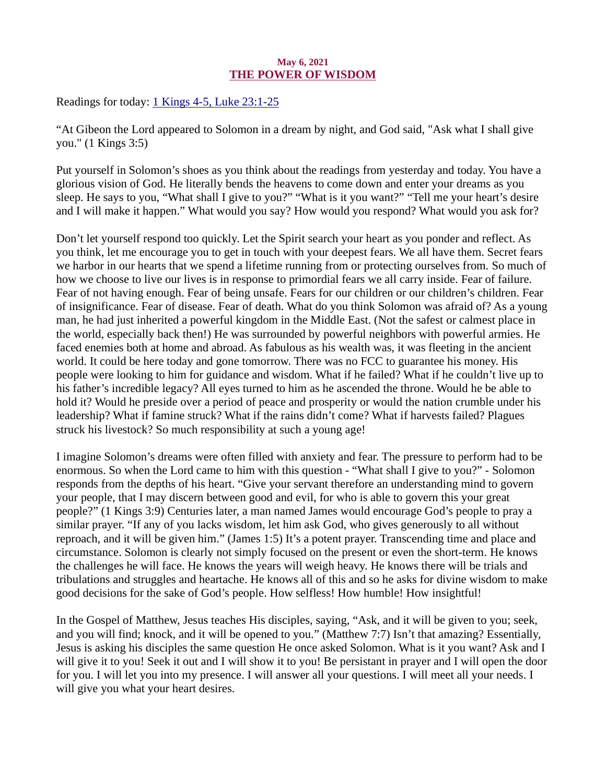## May 6, 2021 THE POWER OF WISDOM

<span id="page-7-0"></span>Readings for today[: 1 Kings 4-5, Luke 23:1-25](https://www.biblegateway.com/passage/?search=1+Kings+4-5%2C+Luke+23%3A1-25&version=ESV)

"At Gibeon the Lord appeared to Solomon in a dream by night, and God said, "Ask what I shall give you." (1 Kings 3:5)

Put yourself in Solomon's shoes as you think about the readings from yesterday and today. You have a glorious vision of God. He literally bends the heavens to come down and enter your dreams as you sleep. He says to you, "What shall I give to you?" "What is it you want?" "Tell me your heart's desire and I will make it happen." What would you say? How would you respond? What would you ask for?

Don't let yourself respond too quickly. Let the Spirit search your heart as you ponder and reflect. As you think, let me encourage you to get in touch with your deepest fears. We all have them. Secret fears we harbor in our hearts that we spend a lifetime running from or protecting ourselves from. So much of how we choose to live our lives is in response to primordial fears we all carry inside. Fear of failure. Fear of not having enough. Fear of being unsafe. Fears for our children or our children's children. Fear of insignificance. Fear of disease. Fear of death. What do you think Solomon was afraid of? As a young man, he had just inherited a powerful kingdom in the Middle East. (Not the safest or calmest place in the world, especially back then!) He was surrounded by powerful neighbors with powerful armies. He faced enemies both at home and abroad. As fabulous as his wealth was, it was fleeting in the ancient world. It could be here today and gone tomorrow. There was no FCC to guarantee his money. His people were looking to him for guidance and wisdom. What if he failed? What if he couldn't live up to his father's incredible legacy? All eyes turned to him as he ascended the throne. Would he be able to hold it? Would he preside over a period of peace and prosperity or would the nation crumble under his leadership? What if famine struck? What if the rains didn't come? What if harvests failed? Plagues struck his livestock? So much responsibility at such a young age!

I imagine Solomon's dreams were often filled with anxiety and fear. The pressure to perform had to be enormous. So when the Lord came to him with this question - "What shall I give to you?" - Solomon responds from the depths of his heart. "Give your servant therefore an understanding mind to govern your people, that I may discern between good and evil, for who is able to govern this your great people?" (1 Kings 3:9) Centuries later, a man named James would encourage God's people to pray a similar prayer. "If any of you lacks wisdom, let him ask God, who gives generously to all without reproach, and it will be given him." (James 1:5) It's a potent prayer. Transcending time and place and circumstance. Solomon is clearly not simply focused on the present or even the short-term. He knows the challenges he will face. He knows the years will weigh heavy. He knows there will be trials and tribulations and struggles and heartache. He knows all of this and so he asks for divine wisdom to make good decisions for the sake of God's people. How selfless! How humble! How insightful!

In the Gospel of Matthew, Jesus teaches His disciples, saying, "Ask, and it will be given to you; seek, and you will find; knock, and it will be opened to you." (Matthew 7:7) Isn't that amazing? Essentially, Jesus is asking his disciples the same question He once asked Solomon. What is it you want? Ask and I will give it to you! Seek it out and I will show it to you! Be persistant in prayer and I will open the door for you. I will let you into my presence. I will answer all your questions. I will meet all your needs. I will give you what your heart desires.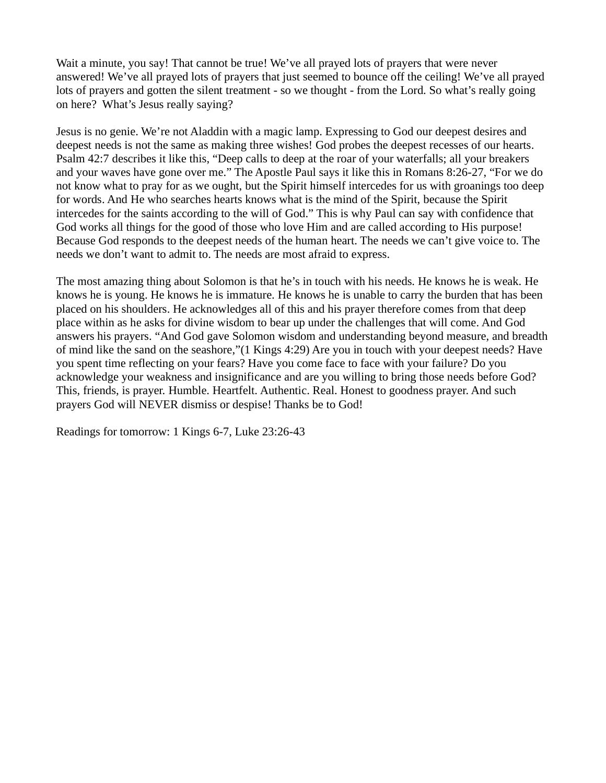Wait a minute, you say! That cannot be true! We've all prayed lots of prayers that were never answered! We've all prayed lots of prayers that just seemed to bounce off the ceiling! We've all prayed lots of prayers and gotten the silent treatment - so we thought - from the Lord. So what's really going on here? What's Jesus really saying?

Jesus is no genie. We're not Aladdin with a magic lamp. Expressing to God our deepest desires and deepest needs is not the same as making three wishes! God probes the deepest recesses of our hearts. Psalm 42:7 describes it like this, "Deep calls to deep at the roar of your waterfalls; all your breakers and your waves have gone over me." The Apostle Paul says it like this in Romans 8:26-27, "For we do not know what to pray for as we ought, but the Spirit himself intercedes for us with groanings too deep for words. And He who searches hearts knows what is the mind of the Spirit, because the Spirit intercedes for the saints according to the will of God." This is why Paul can say with confidence that God works all things for the good of those who love Him and are called according to His purpose! Because God responds to the deepest needs of the human heart. The needs we can't give voice to. The needs we don't want to admit to. The needs are most afraid to express.

The most amazing thing about Solomon is that he's in touch with his needs. He knows he is weak. He knows he is young. He knows he is immature. He knows he is unable to carry the burden that has been placed on his shoulders. He acknowledges all of this and his prayer therefore comes from that deep place within as he asks for divine wisdom to bear up under the challenges that will come. And God answers his prayers. "And God gave Solomon wisdom and understanding beyond measure, and breadth of mind like the sand on the seashore,"(1 Kings 4:29) Are you in touch with your deepest needs? Have you spent time reflecting on your fears? Have you come face to face with your failure? Do you acknowledge your weakness and insignificance and are you willing to bring those needs before God? This, friends, is prayer. Humble. Heartfelt. Authentic. Real. Honest to goodness prayer. And such prayers God will NEVER dismiss or despise! Thanks be to God!

Readings for tomorrow: 1 Kings 6-7, Luke 23:26-43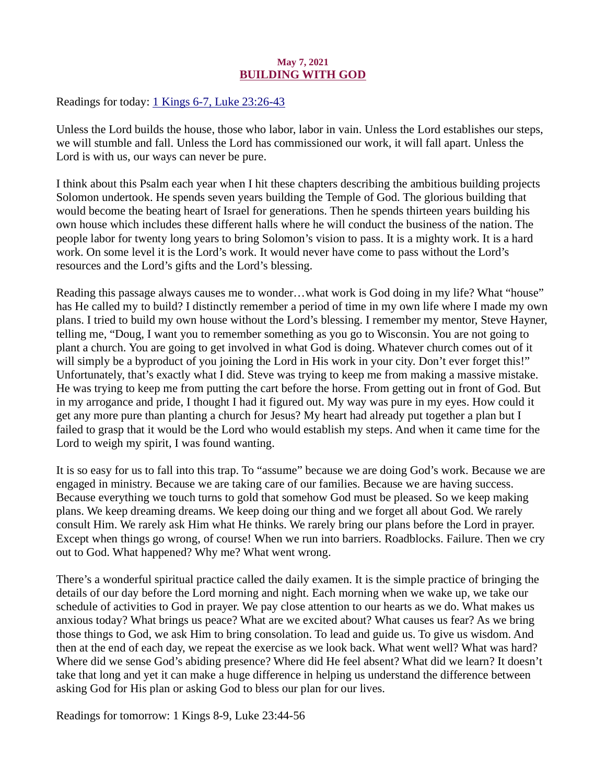## May 7, 2021 BUILDING WITH GOD

<span id="page-9-0"></span>Readings for today: [1 Kings 6-7, Luke 23:26-43](https://www.biblegateway.com/passage/?search=1+Kings+6-7%2C+Luke+23%3A26-43&version=ESV)

Unless the Lord builds the house, those who labor, labor in vain. Unless the Lord establishes our steps, we will stumble and fall. Unless the Lord has commissioned our work, it will fall apart. Unless the Lord is with us, our ways can never be pure.

I think about this Psalm each year when I hit these chapters describing the ambitious building projects Solomon undertook. He spends seven years building the Temple of God. The glorious building that would become the beating heart of Israel for generations. Then he spends thirteen years building his own house which includes these different halls where he will conduct the business of the nation. The people labor for twenty long years to bring Solomon's vision to pass. It is a mighty work. It is a hard work. On some level it is the Lord's work. It would never have come to pass without the Lord's resources and the Lord's gifts and the Lord's blessing.

Reading this passage always causes me to wonder…what work is God doing in my life? What "house" has He called my to build? I distinctly remember a period of time in my own life where I made my own plans. I tried to build my own house without the Lord's blessing. I remember my mentor, Steve Hayner, telling me, "Doug, I want you to remember something as you go to Wisconsin. You are not going to plant a church. You are going to get involved in what God is doing. Whatever church comes out of it will simply be a byproduct of you joining the Lord in His work in your city. Don't ever forget this!" Unfortunately, that's exactly what I did. Steve was trying to keep me from making a massive mistake. He was trying to keep me from putting the cart before the horse. From getting out in front of God. But in my arrogance and pride, I thought I had it figured out. My way was pure in my eyes. How could it get any more pure than planting a church for Jesus? My heart had already put together a plan but I failed to grasp that it would be the Lord who would establish my steps. And when it came time for the Lord to weigh my spirit, I was found wanting.

It is so easy for us to fall into this trap. To "assume" because we are doing God's work. Because we are engaged in ministry. Because we are taking care of our families. Because we are having success. Because everything we touch turns to gold that somehow God must be pleased. So we keep making plans. We keep dreaming dreams. We keep doing our thing and we forget all about God. We rarely consult Him. We rarely ask Him what He thinks. We rarely bring our plans before the Lord in prayer. Except when things go wrong, of course! When we run into barriers. Roadblocks. Failure. Then we cry out to God. What happened? Why me? What went wrong.

There's a wonderful spiritual practice called the daily examen. It is the simple practice of bringing the details of our day before the Lord morning and night. Each morning when we wake up, we take our schedule of activities to God in prayer. We pay close attention to our hearts as we do. What makes us anxious today? What brings us peace? What are we excited about? What causes us fear? As we bring those things to God, we ask Him to bring consolation. To lead and guide us. To give us wisdom. And then at the end of each day, we repeat the exercise as we look back. What went well? What was hard? Where did we sense God's abiding presence? Where did He feel absent? What did we learn? It doesn't take that long and yet it can make a huge difference in helping us understand the difference between asking God for His plan or asking God to bless our plan for our lives.

Readings for tomorrow: 1 Kings 8-9, Luke 23:44-56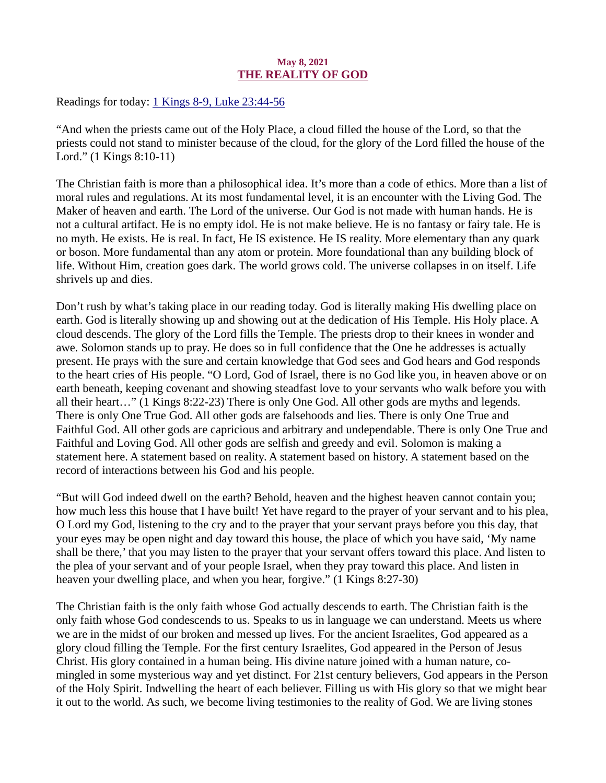## May 8, 2021 THE REALITY OF GOD

<span id="page-10-0"></span>Readings for today: [1 Kings 8-9, Luke 23:44-56](https://www.biblegateway.com/passage/?search=1+Kings+8-9%2C+Luke+23%3A44-56&version=ESV)

"And when the priests came out of the Holy Place, a cloud filled the house of the Lord, so that the priests could not stand to minister because of the cloud, for the glory of the Lord filled the house of the Lord." (1 Kings 8:10-11)

The Christian faith is more than a philosophical idea. It's more than a code of ethics. More than a list of moral rules and regulations. At its most fundamental level, it is an encounter with the Living God. The Maker of heaven and earth. The Lord of the universe. Our God is not made with human hands. He is not a cultural artifact. He is no empty idol. He is not make believe. He is no fantasy or fairy tale. He is no myth. He exists. He is real. In fact, He IS existence. He IS reality. More elementary than any quark or boson. More fundamental than any atom or protein. More foundational than any building block of life. Without Him, creation goes dark. The world grows cold. The universe collapses in on itself. Life shrivels up and dies.

Don't rush by what's taking place in our reading today. God is literally making His dwelling place on earth. God is literally showing up and showing out at the dedication of His Temple. His Holy place. A cloud descends. The glory of the Lord fills the Temple. The priests drop to their knees in wonder and awe. Solomon stands up to pray. He does so in full confidence that the One he addresses is actually present. He prays with the sure and certain knowledge that God sees and God hears and God responds to the heart cries of His people. "O Lord, God of Israel, there is no God like you, in heaven above or on earth beneath, keeping covenant and showing steadfast love to your servants who walk before you with all their heart…" (1 Kings 8:22-23) There is only One God. All other gods are myths and legends. There is only One True God. All other gods are falsehoods and lies. There is only One True and Faithful God. All other gods are capricious and arbitrary and undependable. There is only One True and Faithful and Loving God. All other gods are selfish and greedy and evil. Solomon is making a statement here. A statement based on reality. A statement based on history. A statement based on the record of interactions between his God and his people.

"But will God indeed dwell on the earth? Behold, heaven and the highest heaven cannot contain you; how much less this house that I have built! Yet have regard to the prayer of your servant and to his plea, O Lord my God, listening to the cry and to the prayer that your servant prays before you this day, that your eyes may be open night and day toward this house, the place of which you have said, 'My name shall be there,' that you may listen to the prayer that your servant offers toward this place. And listen to the plea of your servant and of your people Israel, when they pray toward this place. And listen in heaven your dwelling place, and when you hear, forgive." (1 Kings 8:27-30)

The Christian faith is the only faith whose God actually descends to earth. The Christian faith is the only faith whose God condescends to us. Speaks to us in language we can understand. Meets us where we are in the midst of our broken and messed up lives. For the ancient Israelites, God appeared as a glory cloud filling the Temple. For the first century Israelites, God appeared in the Person of Jesus Christ. His glory contained in a human being. His divine nature joined with a human nature, comingled in some mysterious way and yet distinct. For 21st century believers, God appears in the Person of the Holy Spirit. Indwelling the heart of each believer. Filling us with His glory so that we might bear it out to the world. As such, we become living testimonies to the reality of God. We are living stones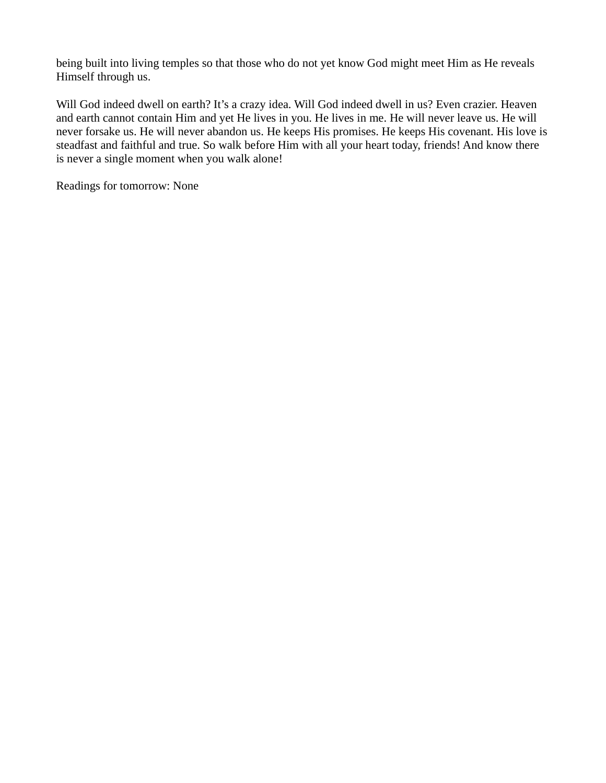being built into living temples so that those who do not yet know God might meet Him as He reveals Himself through us.

Will God indeed dwell on earth? It's a crazy idea. Will God indeed dwell in us? Even crazier. Heaven and earth cannot contain Him and yet He lives in you. He lives in me. He will never leave us. He will never forsake us. He will never abandon us. He keeps His promises. He keeps His covenant. His love is steadfast and faithful and true. So walk before Him with all your heart today, friends! And know there is never a single moment when you walk alone!

Readings for tomorrow: None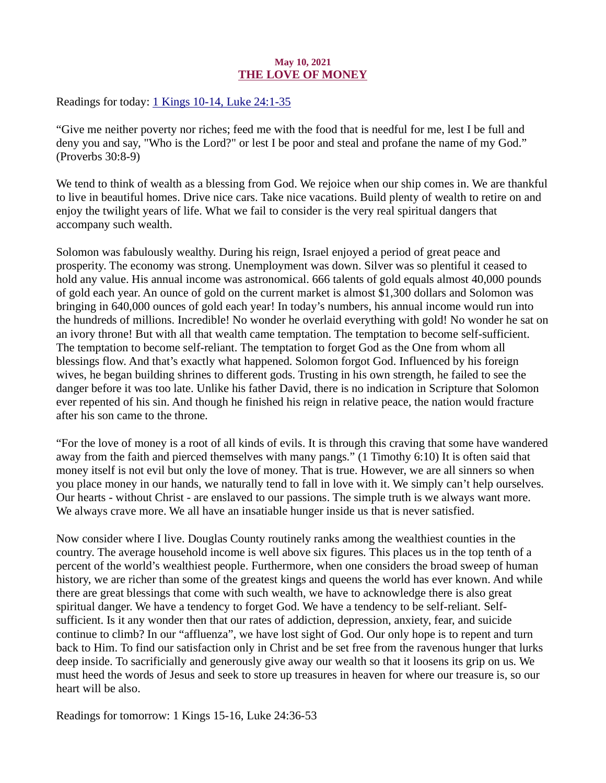## May 10, 2021 THE LOVE OF MONEY

<span id="page-12-0"></span>Readings for today: [1 Kings 10-14, Luke 24:1-35](https://www.biblegateway.com/passage/?search=1+Kings+10-14%2C+Luke+24%3A1-35&version=ESV)

"Give me neither poverty nor riches; feed me with the food that is needful for me, lest I be full and deny you and say, "Who is the Lord?" or lest I be poor and steal and profane the name of my God." (Proverbs 30:8-9)

We tend to think of wealth as a blessing from God. We rejoice when our ship comes in. We are thankful to live in beautiful homes. Drive nice cars. Take nice vacations. Build plenty of wealth to retire on and enjoy the twilight years of life. What we fail to consider is the very real spiritual dangers that accompany such wealth.

Solomon was fabulously wealthy. During his reign, Israel enjoyed a period of great peace and prosperity. The economy was strong. Unemployment was down. Silver was so plentiful it ceased to hold any value. His annual income was astronomical. 666 talents of gold equals almost 40,000 pounds of gold each year. An ounce of gold on the current market is almost \$1,300 dollars and Solomon was bringing in 640,000 ounces of gold each year! In today's numbers, his annual income would run into the hundreds of millions. Incredible! No wonder he overlaid everything with gold! No wonder he sat on an ivory throne! But with all that wealth came temptation. The temptation to become self-sufficient. The temptation to become self-reliant. The temptation to forget God as the One from whom all blessings flow. And that's exactly what happened. Solomon forgot God. Influenced by his foreign wives, he began building shrines to different gods. Trusting in his own strength, he failed to see the danger before it was too late. Unlike his father David, there is no indication in Scripture that Solomon ever repented of his sin. And though he finished his reign in relative peace, the nation would fracture after his son came to the throne.

"For the love of money is a root of all kinds of evils. It is through this craving that some have wandered away from the faith and pierced themselves with many pangs." (1 Timothy 6:10) It is often said that money itself is not evil but only the love of money. That is true. However, we are all sinners so when you place money in our hands, we naturally tend to fall in love with it. We simply can't help ourselves. Our hearts - without Christ - are enslaved to our passions. The simple truth is we always want more. We always crave more. We all have an insatiable hunger inside us that is never satisfied.

Now consider where I live. Douglas County routinely ranks among the wealthiest counties in the country. The average household income is well above six figures. This places us in the top tenth of a percent of the world's wealthiest people. Furthermore, when one considers the broad sweep of human history, we are richer than some of the greatest kings and queens the world has ever known. And while there are great blessings that come with such wealth, we have to acknowledge there is also great spiritual danger. We have a tendency to forget God. We have a tendency to be self-reliant. Selfsufficient. Is it any wonder then that our rates of addiction, depression, anxiety, fear, and suicide continue to climb? In our "affluenza", we have lost sight of God. Our only hope is to repent and turn back to Him. To find our satisfaction only in Christ and be set free from the ravenous hunger that lurks deep inside. To sacrificially and generously give away our wealth so that it loosens its grip on us. We must heed the words of Jesus and seek to store up treasures in heaven for where our treasure is, so our heart will be also.

Readings for tomorrow: 1 Kings 15-16, Luke 24:36-53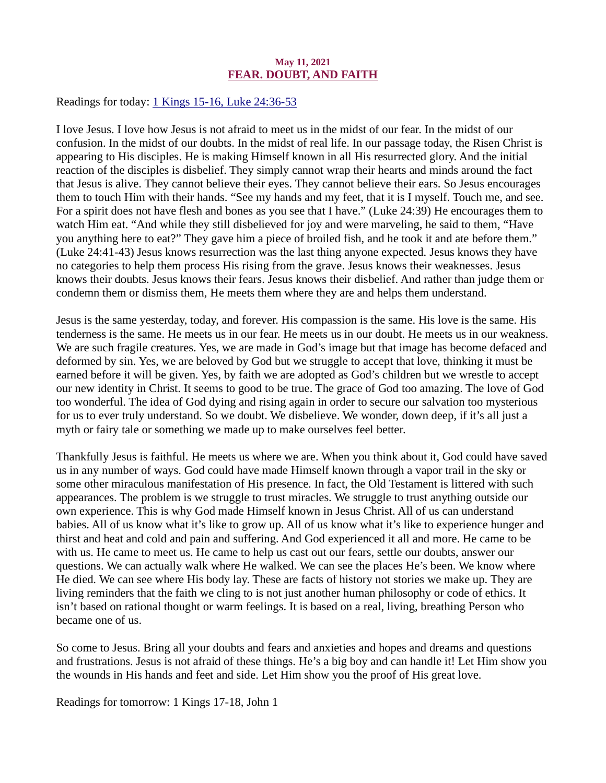#### May 11, 2021 FEAR. DOUBT, AND FAITH

<span id="page-13-0"></span>Readings for today: [1 Kings 15-16, Luke 24:36-53](https://www.biblegateway.com/passage/?search=1+Kings+15-16%2C+Luke+24%3A36-53&version=ESV)

I love Jesus. I love how Jesus is not afraid to meet us in the midst of our fear. In the midst of our confusion. In the midst of our doubts. In the midst of real life. In our passage today, the Risen Christ is appearing to His disciples. He is making Himself known in all His resurrected glory. And the initial reaction of the disciples is disbelief. They simply cannot wrap their hearts and minds around the fact that Jesus is alive. They cannot believe their eyes. They cannot believe their ears. So Jesus encourages them to touch Him with their hands. "See my hands and my feet, that it is I myself. Touch me, and see. For a spirit does not have flesh and bones as you see that I have." (Luke 24:39) He encourages them to watch Him eat. "And while they still disbelieved for joy and were marveling, he said to them, "Have you anything here to eat?" They gave him a piece of broiled fish, and he took it and ate before them." (Luke 24:41-43) Jesus knows resurrection was the last thing anyone expected. Jesus knows they have no categories to help them process His rising from the grave. Jesus knows their weaknesses. Jesus knows their doubts. Jesus knows their fears. Jesus knows their disbelief. And rather than judge them or condemn them or dismiss them, He meets them where they are and helps them understand.

Jesus is the same yesterday, today, and forever. His compassion is the same. His love is the same. His tenderness is the same. He meets us in our fear. He meets us in our doubt. He meets us in our weakness. We are such fragile creatures. Yes, we are made in God's image but that image has become defaced and deformed by sin. Yes, we are beloved by God but we struggle to accept that love, thinking it must be earned before it will be given. Yes, by faith we are adopted as God's children but we wrestle to accept our new identity in Christ. It seems to good to be true. The grace of God too amazing. The love of God too wonderful. The idea of God dying and rising again in order to secure our salvation too mysterious for us to ever truly understand. So we doubt. We disbelieve. We wonder, down deep, if it's all just a myth or fairy tale or something we made up to make ourselves feel better.

Thankfully Jesus is faithful. He meets us where we are. When you think about it, God could have saved us in any number of ways. God could have made Himself known through a vapor trail in the sky or some other miraculous manifestation of His presence. In fact, the Old Testament is littered with such appearances. The problem is we struggle to trust miracles. We struggle to trust anything outside our own experience. This is why God made Himself known in Jesus Christ. All of us can understand babies. All of us know what it's like to grow up. All of us know what it's like to experience hunger and thirst and heat and cold and pain and suffering. And God experienced it all and more. He came to be with us. He came to meet us. He came to help us cast out our fears, settle our doubts, answer our questions. We can actually walk where He walked. We can see the places He's been. We know where He died. We can see where His body lay. These are facts of history not stories we make up. They are living reminders that the faith we cling to is not just another human philosophy or code of ethics. It isn't based on rational thought or warm feelings. It is based on a real, living, breathing Person who became one of us.

So come to Jesus. Bring all your doubts and fears and anxieties and hopes and dreams and questions and frustrations. Jesus is not afraid of these things. He's a big boy and can handle it! Let Him show you the wounds in His hands and feet and side. Let Him show you the proof of His great love.

Readings for tomorrow: 1 Kings 17-18, John 1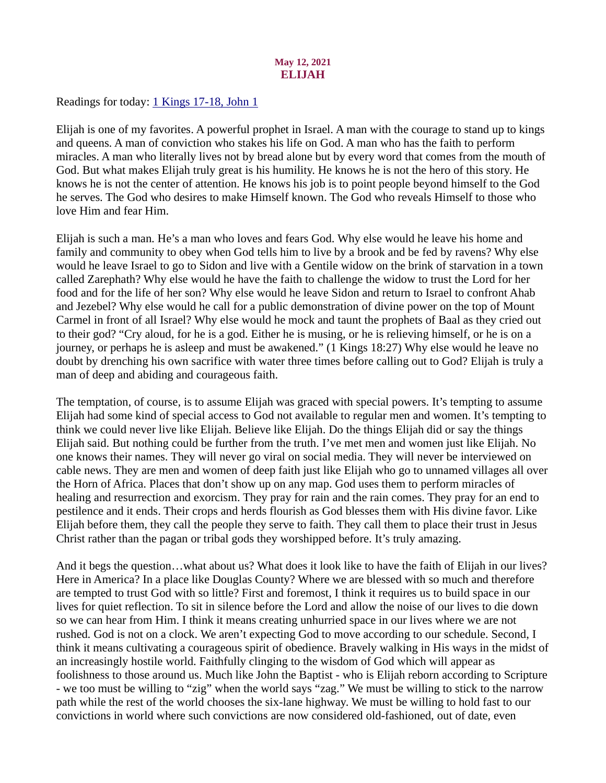## May 12, 2021 ELIJAH

<span id="page-14-0"></span>Readings for today[: 1 Kings 17-18, John 1](https://www.biblegateway.com/passage/?search=1+Kings+17-18%2C+John+1&version=ESV)

Elijah is one of my favorites. A powerful prophet in Israel. A man with the courage to stand up to kings and queens. A man of conviction who stakes his life on God. A man who has the faith to perform miracles. A man who literally lives not by bread alone but by every word that comes from the mouth of God. But what makes Elijah truly great is his humility. He knows he is not the hero of this story. He knows he is not the center of attention. He knows his job is to point people beyond himself to the God he serves. The God who desires to make Himself known. The God who reveals Himself to those who love Him and fear Him.

Elijah is such a man. He's a man who loves and fears God. Why else would he leave his home and family and community to obey when God tells him to live by a brook and be fed by ravens? Why else would he leave Israel to go to Sidon and live with a Gentile widow on the brink of starvation in a town called Zarephath? Why else would he have the faith to challenge the widow to trust the Lord for her food and for the life of her son? Why else would he leave Sidon and return to Israel to confront Ahab and Jezebel? Why else would he call for a public demonstration of divine power on the top of Mount Carmel in front of all Israel? Why else would he mock and taunt the prophets of Baal as they cried out to their god? "Cry aloud, for he is a god. Either he is musing, or he is relieving himself, or he is on a journey, or perhaps he is asleep and must be awakened." (1 Kings 18:27) Why else would he leave no doubt by drenching his own sacrifice with water three times before calling out to God? Elijah is truly a man of deep and abiding and courageous faith.

The temptation, of course, is to assume Elijah was graced with special powers. It's tempting to assume Elijah had some kind of special access to God not available to regular men and women. It's tempting to think we could never live like Elijah. Believe like Elijah. Do the things Elijah did or say the things Elijah said. But nothing could be further from the truth. I've met men and women just like Elijah. No one knows their names. They will never go viral on social media. They will never be interviewed on cable news. They are men and women of deep faith just like Elijah who go to unnamed villages all over the Horn of Africa. Places that don't show up on any map. God uses them to perform miracles of healing and resurrection and exorcism. They pray for rain and the rain comes. They pray for an end to pestilence and it ends. Their crops and herds flourish as God blesses them with His divine favor. Like Elijah before them, they call the people they serve to faith. They call them to place their trust in Jesus Christ rather than the pagan or tribal gods they worshipped before. It's truly amazing.

And it begs the question…what about us? What does it look like to have the faith of Elijah in our lives? Here in America? In a place like Douglas County? Where we are blessed with so much and therefore are tempted to trust God with so little? First and foremost, I think it requires us to build space in our lives for quiet reflection. To sit in silence before the Lord and allow the noise of our lives to die down so we can hear from Him. I think it means creating unhurried space in our lives where we are not rushed. God is not on a clock. We aren't expecting God to move according to our schedule. Second, I think it means cultivating a courageous spirit of obedience. Bravely walking in His ways in the midst of an increasingly hostile world. Faithfully clinging to the wisdom of God which will appear as foolishness to those around us. Much like John the Baptist - who is Elijah reborn according to Scripture - we too must be willing to "zig" when the world says "zag." We must be willing to stick to the narrow path while the rest of the world chooses the six-lane highway. We must be willing to hold fast to our convictions in world where such convictions are now considered old-fashioned, out of date, even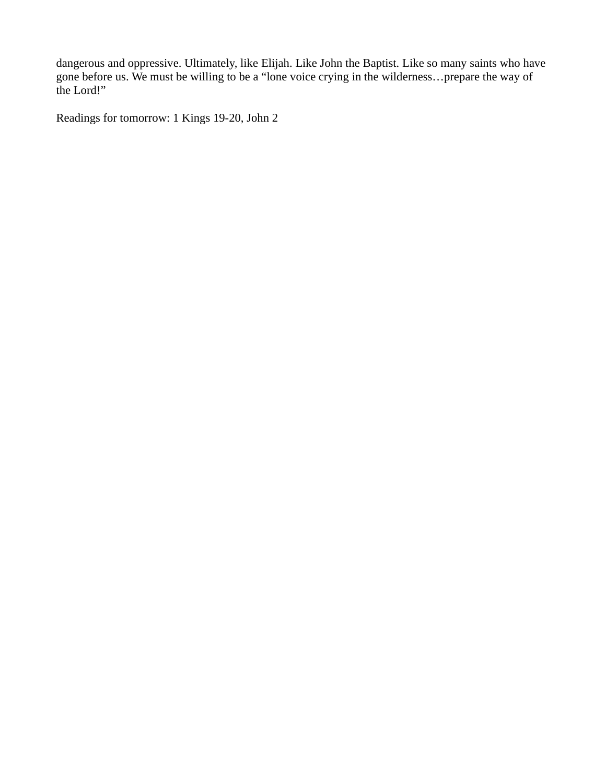dangerous and oppressive. Ultimately, like Elijah. Like John the Baptist. Like so many saints who have gone before us. We must be willing to be a "lone voice crying in the wilderness…prepare the way of the Lord!"

Readings for tomorrow: 1 Kings 19-20, John 2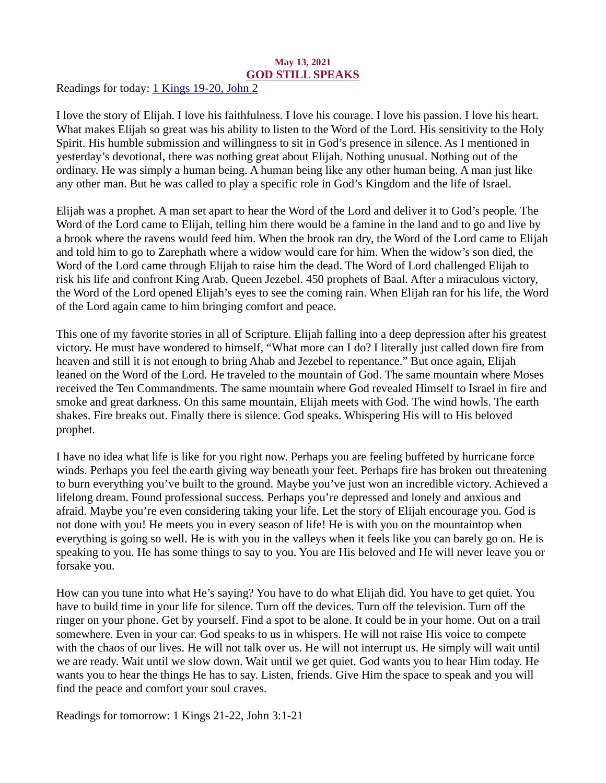#### May 13, 2021 GOD STILL SPEAKS

<span id="page-16-0"></span>Readings for today: [1 Kings 19-20, John 2](https://www.biblegateway.com/passage/?search=1+Kings+19-20%2C+John+2&version=ESV)

I love the story of Elijah. I love his faithfulness. I love his courage. I love his passion. I love his heart. What makes Elijah so great was his ability to listen to the Word of the Lord. His sensitivity to the Holy Spirit. His humble submission and willingness to sit in God's presence in silence. As I mentioned in yesterday's devotional, there was nothing great about Elijah. Nothing unusual. Nothing out of the ordinary. He was simply a human being. A human being like any other human being. A man just like any other man. But he was called to play a specific role in God's Kingdom and the life of Israel.

Elijah was a prophet. A man set apart to hear the Word of the Lord and deliver it to God's people. The Word of the Lord came to Elijah, telling him there would be a famine in the land and to go and live by a brook where the ravens would feed him. When the brook ran dry, the Word of the Lord came to Elijah and told him to go to Zarephath where a widow would care for him. When the widow's son died, the Word of the Lord came through Elijah to raise him the dead. The Word of Lord challenged Elijah to risk his life and confront King Arab. Queen Jezebel. 450 prophets of Baal. After a miraculous victory, the Word of the Lord opened Elijah's eyes to see the coming rain. When Elijah ran for his life, the Word of the Lord again came to him bringing comfort and peace.

This one of my favorite stories in all of Scripture. Elijah falling into a deep depression after his greatest victory. He must have wondered to himself, "What more can I do? I literally just called down fire from heaven and still it is not enough to bring Ahab and Jezebel to repentance." But once again, Elijah leaned on the Word of the Lord. He traveled to the mountain of God. The same mountain where Moses received the Ten Commandments. The same mountain where God revealed Himself to Israel in fire and smoke and great darkness. On this same mountain, Elijah meets with God. The wind howls. The earth shakes. Fire breaks out. Finally there is silence. God speaks. Whispering His will to His beloved prophet.

I have no idea what life is like for you right now. Perhaps you are feeling buffeted by hurricane force winds. Perhaps you feel the earth giving way beneath your feet. Perhaps fire has broken out threatening to burn everything you've built to the ground. Maybe you've just won an incredible victory. Achieved a lifelong dream. Found professional success. Perhaps you're depressed and lonely and anxious and afraid. Maybe you're even considering taking your life. Let the story of Elijah encourage you. God is not done with you! He meets you in every season of life! He is with you on the mountaintop when everything is going so well. He is with you in the valleys when it feels like you can barely go on. He is speaking to you. He has some things to say to you. You are His beloved and He will never leave you or forsake you.

How can you tune into what He's saying? You have to do what Elijah did. You have to get quiet. You have to build time in your life for silence. Turn off the devices. Turn off the television. Turn off the ringer on your phone. Get by yourself. Find a spot to be alone. It could be in your home. Out on a trail somewhere. Even in your car. God speaks to us in whispers. He will not raise His voice to compete with the chaos of our lives. He will not talk over us. He will not interrupt us. He simply will wait until we are ready. Wait until we slow down. Wait until we get quiet. God wants you to hear Him today. He wants you to hear the things He has to say. Listen, friends. Give Him the space to speak and you will find the peace and comfort your soul craves.

Readings for tomorrow: 1 Kings 21-22, John 3:1-21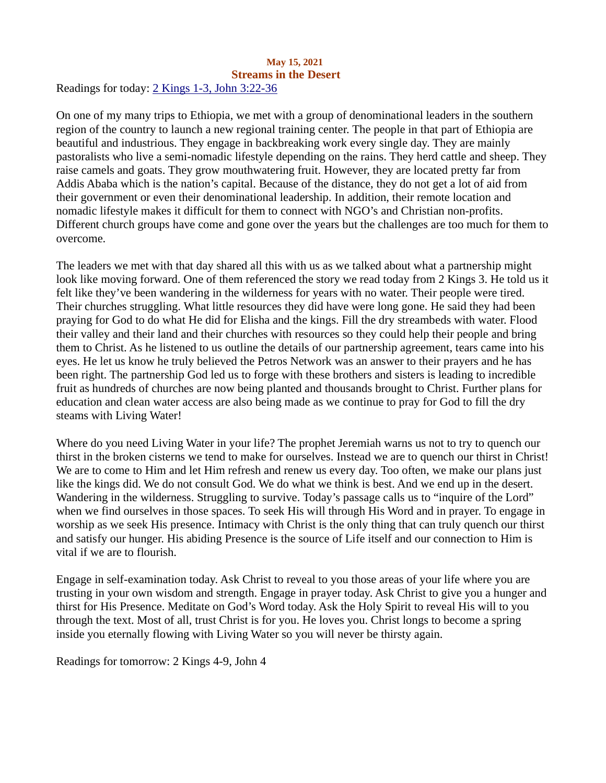#### <span id="page-17-0"></span>May 15, 2021 Streams in the Desert Readings for today[: 2 Kings 1-3, John 3:22-36](https://www.biblegateway.com/passage/?search=2+Kings+1-3%2C+John+3%3A22-36&version=ESV)

On one of my many trips to Ethiopia, we met with a group of denominational leaders in the southern region of the country to launch a new regional training center. The people in that part of Ethiopia are beautiful and industrious. They engage in backbreaking work every single day. They are mainly pastoralists who live a semi-nomadic lifestyle depending on the rains. They herd cattle and sheep. They raise camels and goats. They grow mouthwatering fruit. However, they are located pretty far from Addis Ababa which is the nation's capital. Because of the distance, they do not get a lot of aid from their government or even their denominational leadership. In addition, their remote location and nomadic lifestyle makes it difficult for them to connect with NGO's and Christian non-profits. Different church groups have come and gone over the years but the challenges are too much for them to overcome.

The leaders we met with that day shared all this with us as we talked about what a partnership might look like moving forward. One of them referenced the story we read today from 2 Kings 3. He told us it felt like they've been wandering in the wilderness for years with no water. Their people were tired. Their churches struggling. What little resources they did have were long gone. He said they had been praying for God to do what He did for Elisha and the kings. Fill the dry streambeds with water. Flood their valley and their land and their churches with resources so they could help their people and bring them to Christ. As he listened to us outline the details of our partnership agreement, tears came into his eyes. He let us know he truly believed the Petros Network was an answer to their prayers and he has been right. The partnership God led us to forge with these brothers and sisters is leading to incredible fruit as hundreds of churches are now being planted and thousands brought to Christ. Further plans for education and clean water access are also being made as we continue to pray for God to fill the dry steams with Living Water!

Where do you need Living Water in your life? The prophet Jeremiah warns us not to try to quench our thirst in the broken cisterns we tend to make for ourselves. Instead we are to quench our thirst in Christ! We are to come to Him and let Him refresh and renew us every day. Too often, we make our plans just like the kings did. We do not consult God. We do what we think is best. And we end up in the desert. Wandering in the wilderness. Struggling to survive. Today's passage calls us to "inquire of the Lord" when we find ourselves in those spaces. To seek His will through His Word and in prayer. To engage in worship as we seek His presence. Intimacy with Christ is the only thing that can truly quench our thirst and satisfy our hunger. His abiding Presence is the source of Life itself and our connection to Him is vital if we are to flourish.

Engage in self-examination today. Ask Christ to reveal to you those areas of your life where you are trusting in your own wisdom and strength. Engage in prayer today. Ask Christ to give you a hunger and thirst for His Presence. Meditate on God's Word today. Ask the Holy Spirit to reveal His will to you through the text. Most of all, trust Christ is for you. He loves you. Christ longs to become a spring inside you eternally flowing with Living Water so you will never be thirsty again.

Readings for tomorrow: 2 Kings 4-9, John 4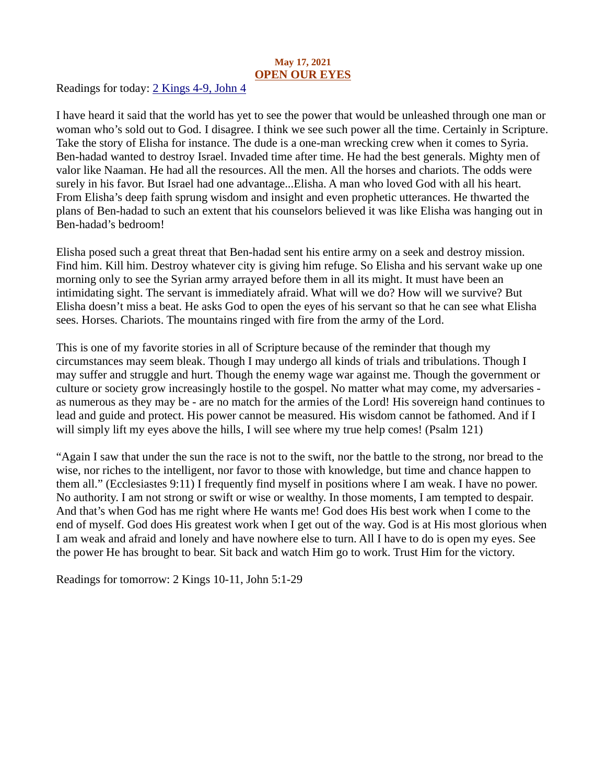## May 17, 2021 OPEN OUR EYES

<span id="page-18-0"></span>Readings for today[: 2 Kings 4-9, John 4](https://www.biblegateway.com/passage/?search=2+Kings+4-9%2C+John+4&version=ESV)

I have heard it said that the world has yet to see the power that would be unleashed through one man or woman who's sold out to God. I disagree. I think we see such power all the time. Certainly in Scripture. Take the story of Elisha for instance. The dude is a one-man wrecking crew when it comes to Syria. Ben-hadad wanted to destroy Israel. Invaded time after time. He had the best generals. Mighty men of valor like Naaman. He had all the resources. All the men. All the horses and chariots. The odds were surely in his favor. But Israel had one advantage...Elisha. A man who loved God with all his heart. From Elisha's deep faith sprung wisdom and insight and even prophetic utterances. He thwarted the plans of Ben-hadad to such an extent that his counselors believed it was like Elisha was hanging out in Ben-hadad's bedroom!

Elisha posed such a great threat that Ben-hadad sent his entire army on a seek and destroy mission. Find him. Kill him. Destroy whatever city is giving him refuge. So Elisha and his servant wake up one morning only to see the Syrian army arrayed before them in all its might. It must have been an intimidating sight. The servant is immediately afraid. What will we do? How will we survive? But Elisha doesn't miss a beat. He asks God to open the eyes of his servant so that he can see what Elisha sees. Horses. Chariots. The mountains ringed with fire from the army of the Lord.

This is one of my favorite stories in all of Scripture because of the reminder that though my circumstances may seem bleak. Though I may undergo all kinds of trials and tribulations. Though I may suffer and struggle and hurt. Though the enemy wage war against me. Though the government or culture or society grow increasingly hostile to the gospel. No matter what may come, my adversaries as numerous as they may be - are no match for the armies of the Lord! His sovereign hand continues to lead and guide and protect. His power cannot be measured. His wisdom cannot be fathomed. And if I will simply lift my eyes above the hills, I will see where my true help comes! (Psalm 121)

"Again I saw that under the sun the race is not to the swift, nor the battle to the strong, nor bread to the wise, nor riches to the intelligent, nor favor to those with knowledge, but time and chance happen to them all." (Ecclesiastes 9:11) I frequently find myself in positions where I am weak. I have no power. No authority. I am not strong or swift or wise or wealthy. In those moments, I am tempted to despair. And that's when God has me right where He wants me! God does His best work when I come to the end of myself. God does His greatest work when I get out of the way. God is at His most glorious when I am weak and afraid and lonely and have nowhere else to turn. All I have to do is open my eyes. See the power He has brought to bear. Sit back and watch Him go to work. Trust Him for the victory.

Readings for tomorrow: 2 Kings 10-11, John 5:1-29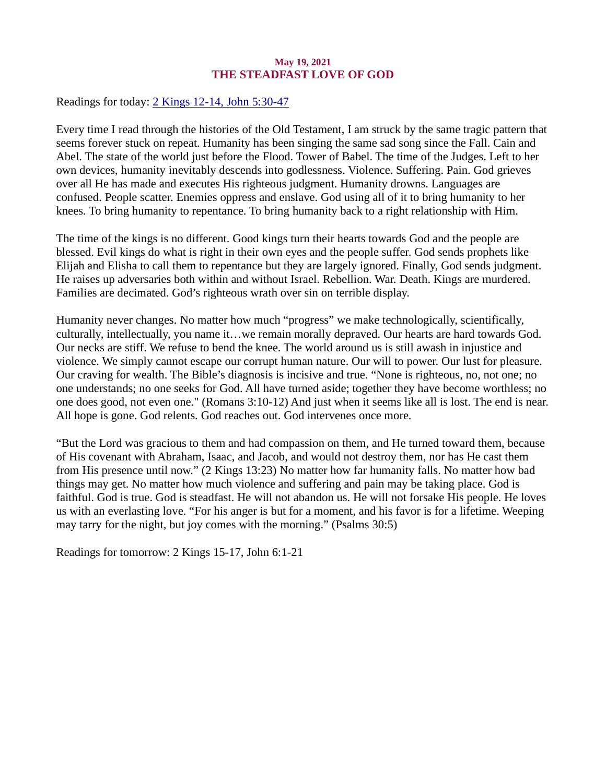#### May 19, 2021 THE STEADFAST LOVE OF GOD

<span id="page-19-0"></span>Readings for today[: 2 Kings 12-14, John 5:30-47](https://www.biblegateway.com/passage/?search=2+Kings+12-14%2C+John+5%3A30-47&version=ESV)

Every time I read through the histories of the Old Testament, I am struck by the same tragic pattern that seems forever stuck on repeat. Humanity has been singing the same sad song since the Fall. Cain and Abel. The state of the world just before the Flood. Tower of Babel. The time of the Judges. Left to her own devices, humanity inevitably descends into godlessness. Violence. Suffering. Pain. God grieves over all He has made and executes His righteous judgment. Humanity drowns. Languages are confused. People scatter. Enemies oppress and enslave. God using all of it to bring humanity to her knees. To bring humanity to repentance. To bring humanity back to a right relationship with Him.

The time of the kings is no different. Good kings turn their hearts towards God and the people are blessed. Evil kings do what is right in their own eyes and the people suffer. God sends prophets like Elijah and Elisha to call them to repentance but they are largely ignored. Finally, God sends judgment. He raises up adversaries both within and without Israel. Rebellion. War. Death. Kings are murdered. Families are decimated. God's righteous wrath over sin on terrible display.

Humanity never changes. No matter how much "progress" we make technologically, scientifically, culturally, intellectually, you name it…we remain morally depraved. Our hearts are hard towards God. Our necks are stiff. We refuse to bend the knee. The world around us is still awash in injustice and violence. We simply cannot escape our corrupt human nature. Our will to power. Our lust for pleasure. Our craving for wealth. The Bible's diagnosis is incisive and true. "None is righteous, no, not one; no one understands; no one seeks for God. All have turned aside; together they have become worthless; no one does good, not even one." (Romans 3:10-12) And just when it seems like all is lost. The end is near. All hope is gone. God relents. God reaches out. God intervenes once more.

"But the Lord was gracious to them and had compassion on them, and He turned toward them, because of His covenant with Abraham, Isaac, and Jacob, and would not destroy them, nor has He cast them from His presence until now." (2 Kings 13:23) No matter how far humanity falls. No matter how bad things may get. No matter how much violence and suffering and pain may be taking place. God is faithful. God is true. God is steadfast. He will not abandon us. He will not forsake His people. He loves us with an everlasting love. "For his anger is but for a moment, and his favor is for a lifetime. Weeping may tarry for the night, but joy comes with the morning." (Psalms 30:5)

Readings for tomorrow: 2 Kings 15-17, John 6:1-21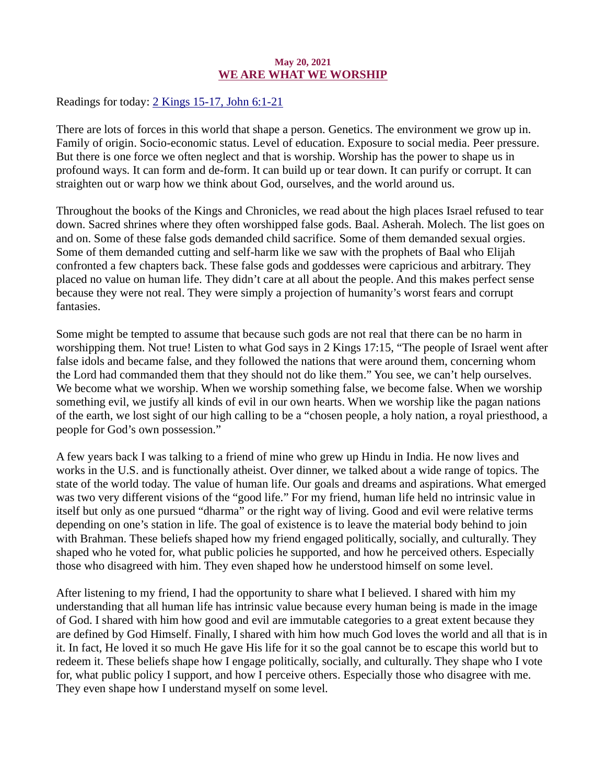#### May 20, 2021 WE ARE WHAT WE WORSHIP

<span id="page-20-0"></span>Readings for today[: 2 Kings 15-17, John 6:1-21](https://www.biblegateway.com/passage/?search=2+Kings+15-17%2C+John+6%3A1-21&version=ESV)

There are lots of forces in this world that shape a person. Genetics. The environment we grow up in. Family of origin. Socio-economic status. Level of education. Exposure to social media. Peer pressure. But there is one force we often neglect and that is worship. Worship has the power to shape us in profound ways. It can form and de-form. It can build up or tear down. It can purify or corrupt. It can straighten out or warp how we think about God, ourselves, and the world around us.

Throughout the books of the Kings and Chronicles, we read about the high places Israel refused to tear down. Sacred shrines where they often worshipped false gods. Baal. Asherah. Molech. The list goes on and on. Some of these false gods demanded child sacrifice. Some of them demanded sexual orgies. Some of them demanded cutting and self-harm like we saw with the prophets of Baal who Elijah confronted a few chapters back. These false gods and goddesses were capricious and arbitrary. They placed no value on human life. They didn't care at all about the people. And this makes perfect sense because they were not real. They were simply a projection of humanity's worst fears and corrupt fantasies.

Some might be tempted to assume that because such gods are not real that there can be no harm in worshipping them. Not true! Listen to what God says in 2 Kings 17:15, "The people of Israel went after false idols and became false, and they followed the nations that were around them, concerning whom the Lord had commanded them that they should not do like them." You see, we can't help ourselves. We become what we worship. When we worship something false, we become false. When we worship something evil, we justify all kinds of evil in our own hearts. When we worship like the pagan nations of the earth, we lost sight of our high calling to be a "chosen people, a holy nation, a royal priesthood, a people for God's own possession."

A few years back I was talking to a friend of mine who grew up Hindu in India. He now lives and works in the U.S. and is functionally atheist. Over dinner, we talked about a wide range of topics. The state of the world today. The value of human life. Our goals and dreams and aspirations. What emerged was two very different visions of the "good life." For my friend, human life held no intrinsic value in itself but only as one pursued "dharma" or the right way of living. Good and evil were relative terms depending on one's station in life. The goal of existence is to leave the material body behind to join with Brahman. These beliefs shaped how my friend engaged politically, socially, and culturally. They shaped who he voted for, what public policies he supported, and how he perceived others. Especially those who disagreed with him. They even shaped how he understood himself on some level.

After listening to my friend, I had the opportunity to share what I believed. I shared with him my understanding that all human life has intrinsic value because every human being is made in the image of God. I shared with him how good and evil are immutable categories to a great extent because they are defined by God Himself. Finally, I shared with him how much God loves the world and all that is in it. In fact, He loved it so much He gave His life for it so the goal cannot be to escape this world but to redeem it. These beliefs shape how I engage politically, socially, and culturally. They shape who I vote for, what public policy I support, and how I perceive others. Especially those who disagree with me. They even shape how I understand myself on some level.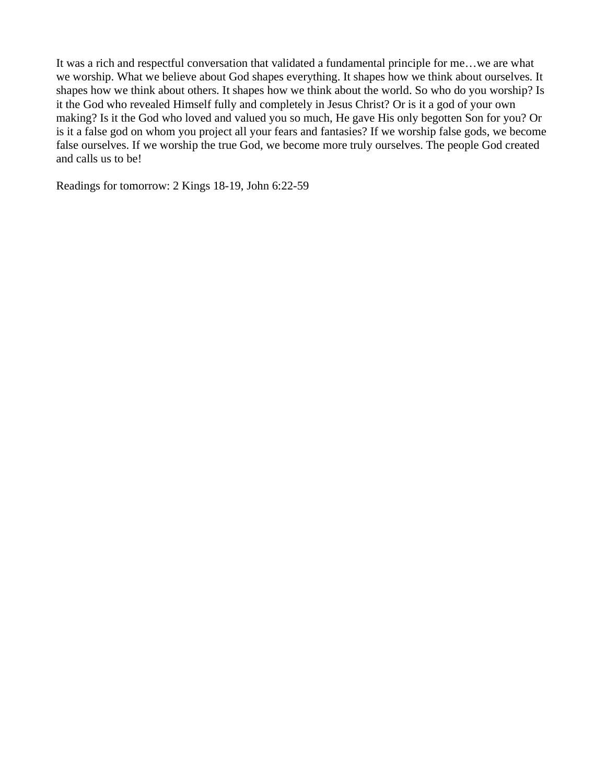It was a rich and respectful conversation that validated a fundamental principle for me…we are what we worship. What we believe about God shapes everything. It shapes how we think about ourselves. It shapes how we think about others. It shapes how we think about the world. So who do you worship? Is it the God who revealed Himself fully and completely in Jesus Christ? Or is it a god of your own making? Is it the God who loved and valued you so much, He gave His only begotten Son for you? Or is it a false god on whom you project all your fears and fantasies? If we worship false gods, we become false ourselves. If we worship the true God, we become more truly ourselves. The people God created and calls us to be!

Readings for tomorrow: 2 Kings 18-19, John 6:22-59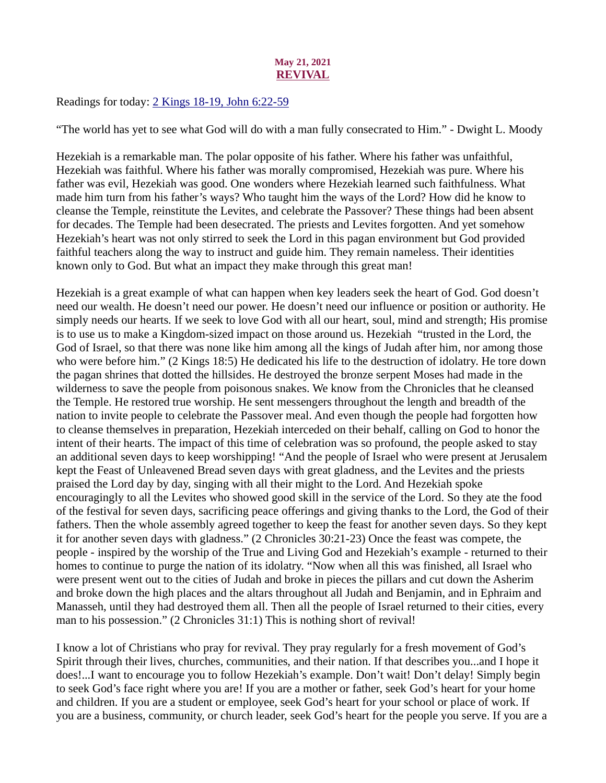## May 21, 2021 REVIVAL

<span id="page-22-0"></span>Readings for today: [2 Kings 18-19, John 6:22-59](https://www.biblegateway.com/passage/?search=2+Kings+18-19%2C+John+6%3A22-59&version=ESV)

"The world has yet to see what God will do with a man fully consecrated to Him." - Dwight L. Moody

Hezekiah is a remarkable man. The polar opposite of his father. Where his father was unfaithful, Hezekiah was faithful. Where his father was morally compromised, Hezekiah was pure. Where his father was evil, Hezekiah was good. One wonders where Hezekiah learned such faithfulness. What made him turn from his father's ways? Who taught him the ways of the Lord? How did he know to cleanse the Temple, reinstitute the Levites, and celebrate the Passover? These things had been absent for decades. The Temple had been desecrated. The priests and Levites forgotten. And yet somehow Hezekiah's heart was not only stirred to seek the Lord in this pagan environment but God provided faithful teachers along the way to instruct and guide him. They remain nameless. Their identities known only to God. But what an impact they make through this great man!

Hezekiah is a great example of what can happen when key leaders seek the heart of God. God doesn't need our wealth. He doesn't need our power. He doesn't need our influence or position or authority. He simply needs our hearts. If we seek to love God with all our heart, soul, mind and strength; His promise is to use us to make a Kingdom-sized impact on those around us. Hezekiah "trusted in the Lord, the God of Israel, so that there was none like him among all the kings of Judah after him, nor among those who were before him." (2 Kings 18:5) He dedicated his life to the destruction of idolatry. He tore down the pagan shrines that dotted the hillsides. He destroyed the bronze serpent Moses had made in the wilderness to save the people from poisonous snakes. We know from the Chronicles that he cleansed the Temple. He restored true worship. He sent messengers throughout the length and breadth of the nation to invite people to celebrate the Passover meal. And even though the people had forgotten how to cleanse themselves in preparation, Hezekiah interceded on their behalf, calling on God to honor the intent of their hearts. The impact of this time of celebration was so profound, the people asked to stay an additional seven days to keep worshipping! "And the people of Israel who were present at Jerusalem kept the Feast of Unleavened Bread seven days with great gladness, and the Levites and the priests praised the Lord day by day, singing with all their might to the Lord. And Hezekiah spoke encouragingly to all the Levites who showed good skill in the service of the Lord. So they ate the food of the festival for seven days, sacrificing peace offerings and giving thanks to the Lord, the God of their fathers. Then the whole assembly agreed together to keep the feast for another seven days. So they kept it for another seven days with gladness." (2 Chronicles 30:21-23) Once the feast was compete, the people - inspired by the worship of the True and Living God and Hezekiah's example - returned to their homes to continue to purge the nation of its idolatry. "Now when all this was finished, all Israel who were present went out to the cities of Judah and broke in pieces the pillars and cut down the Asherim and broke down the high places and the altars throughout all Judah and Benjamin, and in Ephraim and Manasseh, until they had destroyed them all. Then all the people of Israel returned to their cities, every man to his possession." (2 Chronicles 31:1) This is nothing short of revival!

I know a lot of Christians who pray for revival. They pray regularly for a fresh movement of God's Spirit through their lives, churches, communities, and their nation. If that describes you...and I hope it does!...I want to encourage you to follow Hezekiah's example. Don't wait! Don't delay! Simply begin to seek God's face right where you are! If you are a mother or father, seek God's heart for your home and children. If you are a student or employee, seek God's heart for your school or place of work. If you are a business, community, or church leader, seek God's heart for the people you serve. If you are a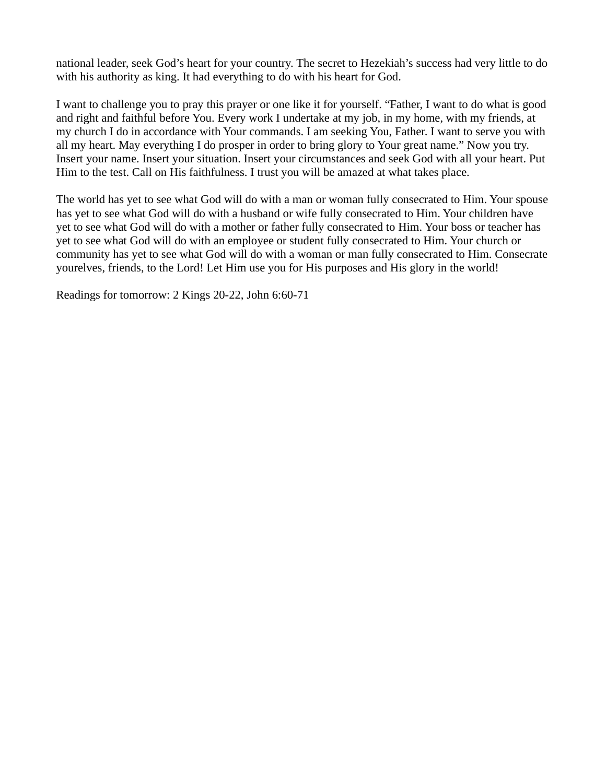national leader, seek God's heart for your country. The secret to Hezekiah's success had very little to do with his authority as king. It had everything to do with his heart for God.

I want to challenge you to pray this prayer or one like it for yourself. "Father, I want to do what is good and right and faithful before You. Every work I undertake at my job, in my home, with my friends, at my church I do in accordance with Your commands. I am seeking You, Father. I want to serve you with all my heart. May everything I do prosper in order to bring glory to Your great name." Now you try. Insert your name. Insert your situation. Insert your circumstances and seek God with all your heart. Put Him to the test. Call on His faithfulness. I trust you will be amazed at what takes place.

The world has yet to see what God will do with a man or woman fully consecrated to Him. Your spouse has yet to see what God will do with a husband or wife fully consecrated to Him. Your children have yet to see what God will do with a mother or father fully consecrated to Him. Your boss or teacher has yet to see what God will do with an employee or student fully consecrated to Him. Your church or community has yet to see what God will do with a woman or man fully consecrated to Him. Consecrate yourelves, friends, to the Lord! Let Him use you for His purposes and His glory in the world!

Readings for tomorrow: 2 Kings 20-22, John 6:60-71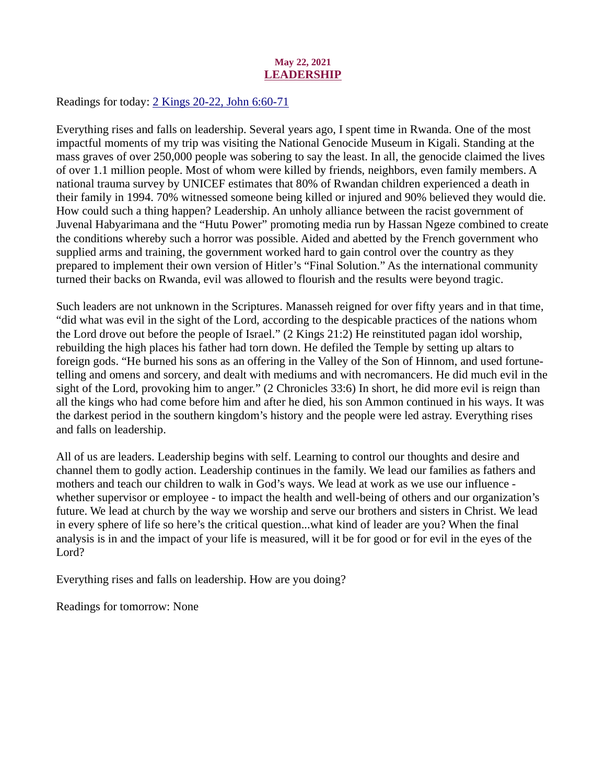## May 22, 2021 LEADERSHIP

<span id="page-24-0"></span>Readings for today: [2 Kings 20-22, John 6:60-71](https://www.biblegateway.com/passage/?search=2+Kings+20-22%2C+John+6%3A60-71&version=ESV)

Everything rises and falls on leadership. Several years ago, I spent time in Rwanda. One of the most impactful moments of my trip was visiting the National Genocide Museum in Kigali. Standing at the mass graves of over 250,000 people was sobering to say the least. In all, the genocide claimed the lives of over 1.1 million people. Most of whom were killed by friends, neighbors, even family members. A national trauma survey by UNICEF estimates that 80% of Rwandan children experienced a death in their family in 1994. 70% witnessed someone being killed or injured and 90% believed they would die. How could such a thing happen? Leadership. An unholy alliance between the racist government of Juvenal Habyarimana and the "Hutu Power" promoting media run by Hassan Ngeze combined to create the conditions whereby such a horror was possible. Aided and abetted by the French government who supplied arms and training, the government worked hard to gain control over the country as they prepared to implement their own version of Hitler's "Final Solution." As the international community turned their backs on Rwanda, evil was allowed to flourish and the results were beyond tragic.

Such leaders are not unknown in the Scriptures. Manasseh reigned for over fifty years and in that time, "did what was evil in the sight of the Lord, according to the despicable practices of the nations whom the Lord drove out before the people of Israel." (2 Kings 21:2) He reinstituted pagan idol worship, rebuilding the high places his father had torn down. He defiled the Temple by setting up altars to foreign gods. "He burned his sons as an offering in the Valley of the Son of Hinnom, and used fortunetelling and omens and sorcery, and dealt with mediums and with necromancers. He did much evil in the sight of the Lord, provoking him to anger." (2 Chronicles 33:6) In short, he did more evil is reign than all the kings who had come before him and after he died, his son Ammon continued in his ways. It was the darkest period in the southern kingdom's history and the people were led astray. Everything rises and falls on leadership.

All of us are leaders. Leadership begins with self. Learning to control our thoughts and desire and channel them to godly action. Leadership continues in the family. We lead our families as fathers and mothers and teach our children to walk in God's ways. We lead at work as we use our influence whether supervisor or employee - to impact the health and well-being of others and our organization's future. We lead at church by the way we worship and serve our brothers and sisters in Christ. We lead in every sphere of life so here's the critical question...what kind of leader are you? When the final analysis is in and the impact of your life is measured, will it be for good or for evil in the eyes of the Lord?

Everything rises and falls on leadership. How are you doing?

Readings for tomorrow: None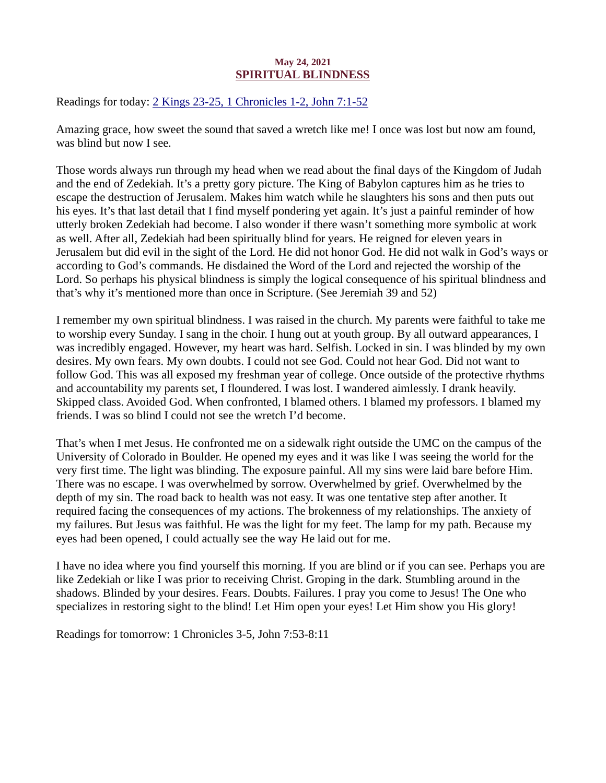## May 24, 2021 SPIRITUAL BLINDNESS

<span id="page-25-0"></span>Readings for today: [2 Kings 23-25, 1 Chronicles 1-2, John 7:1-52](https://www.biblegateway.com/passage/?search=2+Kings+23-25%2C+1+Chronicles+1-2%2C+John+7%3A1-52&version=ESV)

Amazing grace, how sweet the sound that saved a wretch like me! I once was lost but now am found, was blind but now I see.

Those words always run through my head when we read about the final days of the Kingdom of Judah and the end of Zedekiah. It's a pretty gory picture. The King of Babylon captures him as he tries to escape the destruction of Jerusalem. Makes him watch while he slaughters his sons and then puts out his eyes. It's that last detail that I find myself pondering yet again. It's just a painful reminder of how utterly broken Zedekiah had become. I also wonder if there wasn't something more symbolic at work as well. After all, Zedekiah had been spiritually blind for years. He reigned for eleven years in Jerusalem but did evil in the sight of the Lord. He did not honor God. He did not walk in God's ways or according to God's commands. He disdained the Word of the Lord and rejected the worship of the Lord. So perhaps his physical blindness is simply the logical consequence of his spiritual blindness and that's why it's mentioned more than once in Scripture. (See Jeremiah 39 and 52)

I remember my own spiritual blindness. I was raised in the church. My parents were faithful to take me to worship every Sunday. I sang in the choir. I hung out at youth group. By all outward appearances, I was incredibly engaged. However, my heart was hard. Selfish. Locked in sin. I was blinded by my own desires. My own fears. My own doubts. I could not see God. Could not hear God. Did not want to follow God. This was all exposed my freshman year of college. Once outside of the protective rhythms and accountability my parents set, I floundered. I was lost. I wandered aimlessly. I drank heavily. Skipped class. Avoided God. When confronted, I blamed others. I blamed my professors. I blamed my friends. I was so blind I could not see the wretch I'd become.

That's when I met Jesus. He confronted me on a sidewalk right outside the UMC on the campus of the University of Colorado in Boulder. He opened my eyes and it was like I was seeing the world for the very first time. The light was blinding. The exposure painful. All my sins were laid bare before Him. There was no escape. I was overwhelmed by sorrow. Overwhelmed by grief. Overwhelmed by the depth of my sin. The road back to health was not easy. It was one tentative step after another. It required facing the consequences of my actions. The brokenness of my relationships. The anxiety of my failures. But Jesus was faithful. He was the light for my feet. The lamp for my path. Because my eyes had been opened, I could actually see the way He laid out for me.

I have no idea where you find yourself this morning. If you are blind or if you can see. Perhaps you are like Zedekiah or like I was prior to receiving Christ. Groping in the dark. Stumbling around in the shadows. Blinded by your desires. Fears. Doubts. Failures. I pray you come to Jesus! The One who specializes in restoring sight to the blind! Let Him open your eyes! Let Him show you His glory!

Readings for tomorrow: 1 Chronicles 3-5, John 7:53-8:11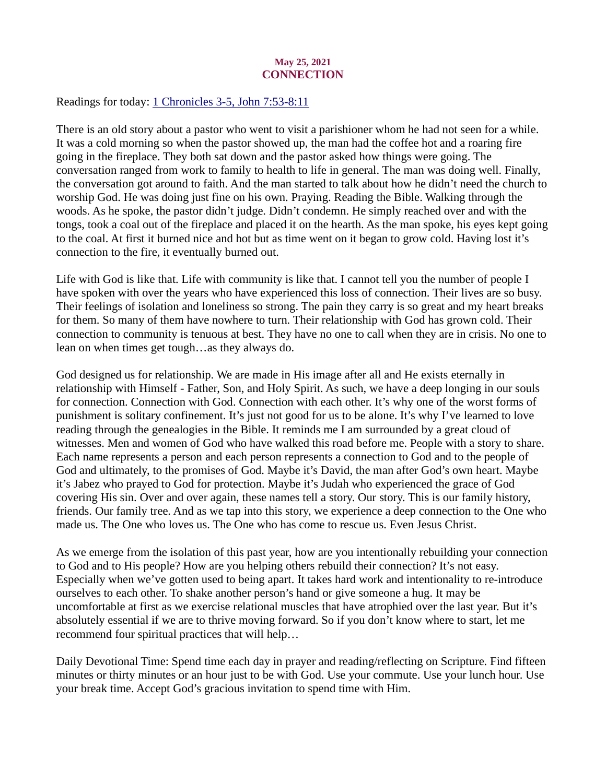## May 25, 2021 **CONNECTION**

<span id="page-26-0"></span>Readings for today: [1 Chronicles 3-5, John 7:53-8:11](https://www.biblegateway.com/passage/?search=1+Chronicles+3-5%2C+John+7%3A53-8%3A11&version=ESV)

There is an old story about a pastor who went to visit a parishioner whom he had not seen for a while. It was a cold morning so when the pastor showed up, the man had the coffee hot and a roaring fire going in the fireplace. They both sat down and the pastor asked how things were going. The conversation ranged from work to family to health to life in general. The man was doing well. Finally, the conversation got around to faith. And the man started to talk about how he didn't need the church to worship God. He was doing just fine on his own. Praying. Reading the Bible. Walking through the woods. As he spoke, the pastor didn't judge. Didn't condemn. He simply reached over and with the tongs, took a coal out of the fireplace and placed it on the hearth. As the man spoke, his eyes kept going to the coal. At first it burned nice and hot but as time went on it began to grow cold. Having lost it's connection to the fire, it eventually burned out.

Life with God is like that. Life with community is like that. I cannot tell you the number of people I have spoken with over the years who have experienced this loss of connection. Their lives are so busy. Their feelings of isolation and loneliness so strong. The pain they carry is so great and my heart breaks for them. So many of them have nowhere to turn. Their relationship with God has grown cold. Their connection to community is tenuous at best. They have no one to call when they are in crisis. No one to lean on when times get tough…as they always do.

God designed us for relationship. We are made in His image after all and He exists eternally in relationship with Himself - Father, Son, and Holy Spirit. As such, we have a deep longing in our souls for connection. Connection with God. Connection with each other. It's why one of the worst forms of punishment is solitary confinement. It's just not good for us to be alone. It's why I've learned to love reading through the genealogies in the Bible. It reminds me I am surrounded by a great cloud of witnesses. Men and women of God who have walked this road before me. People with a story to share. Each name represents a person and each person represents a connection to God and to the people of God and ultimately, to the promises of God. Maybe it's David, the man after God's own heart. Maybe it's Jabez who prayed to God for protection. Maybe it's Judah who experienced the grace of God covering His sin. Over and over again, these names tell a story. Our story. This is our family history, friends. Our family tree. And as we tap into this story, we experience a deep connection to the One who made us. The One who loves us. The One who has come to rescue us. Even Jesus Christ.

As we emerge from the isolation of this past year, how are you intentionally rebuilding your connection to God and to His people? How are you helping others rebuild their connection? It's not easy. Especially when we've gotten used to being apart. It takes hard work and intentionality to re-introduce ourselves to each other. To shake another person's hand or give someone a hug. It may be uncomfortable at first as we exercise relational muscles that have atrophied over the last year. But it's absolutely essential if we are to thrive moving forward. So if you don't know where to start, let me recommend four spiritual practices that will help…

Daily Devotional Time: Spend time each day in prayer and reading/reflecting on Scripture. Find fifteen minutes or thirty minutes or an hour just to be with God. Use your commute. Use your lunch hour. Use your break time. Accept God's gracious invitation to spend time with Him.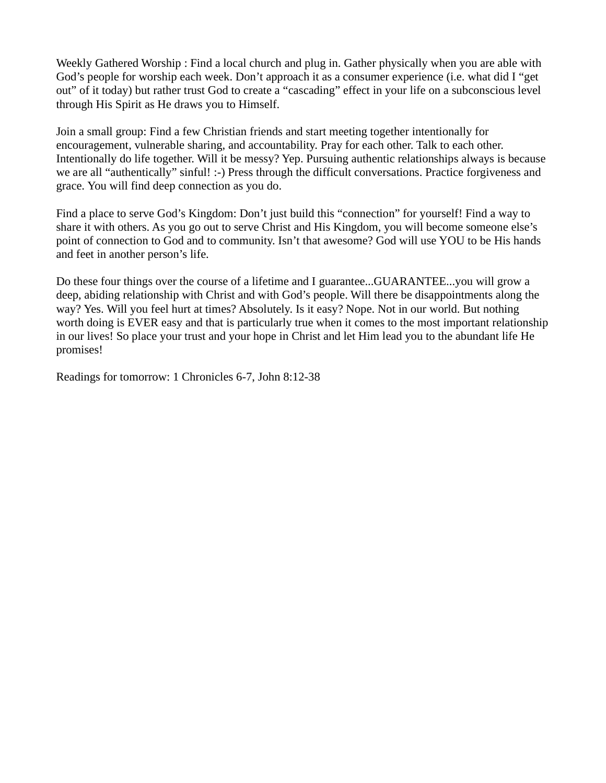Weekly Gathered Worship : Find a local church and plug in. Gather physically when you are able with God's people for worship each week. Don't approach it as a consumer experience (i.e. what did I "get out" of it today) but rather trust God to create a "cascading" effect in your life on a subconscious level through His Spirit as He draws you to Himself.

Join a small group: Find a few Christian friends and start meeting together intentionally for encouragement, vulnerable sharing, and accountability. Pray for each other. Talk to each other. Intentionally do life together. Will it be messy? Yep. Pursuing authentic relationships always is because we are all "authentically" sinful! :-) Press through the difficult conversations. Practice forgiveness and grace. You will find deep connection as you do.

Find a place to serve God's Kingdom: Don't just build this "connection" for yourself! Find a way to share it with others. As you go out to serve Christ and His Kingdom, you will become someone else's point of connection to God and to community. Isn't that awesome? God will use YOU to be His hands and feet in another person's life.

Do these four things over the course of a lifetime and I guarantee...GUARANTEE...you will grow a deep, abiding relationship with Christ and with God's people. Will there be disappointments along the way? Yes. Will you feel hurt at times? Absolutely. Is it easy? Nope. Not in our world. But nothing worth doing is EVER easy and that is particularly true when it comes to the most important relationship in our lives! So place your trust and your hope in Christ and let Him lead you to the abundant life He promises!

Readings for tomorrow: 1 Chronicles 6-7, John 8:12-38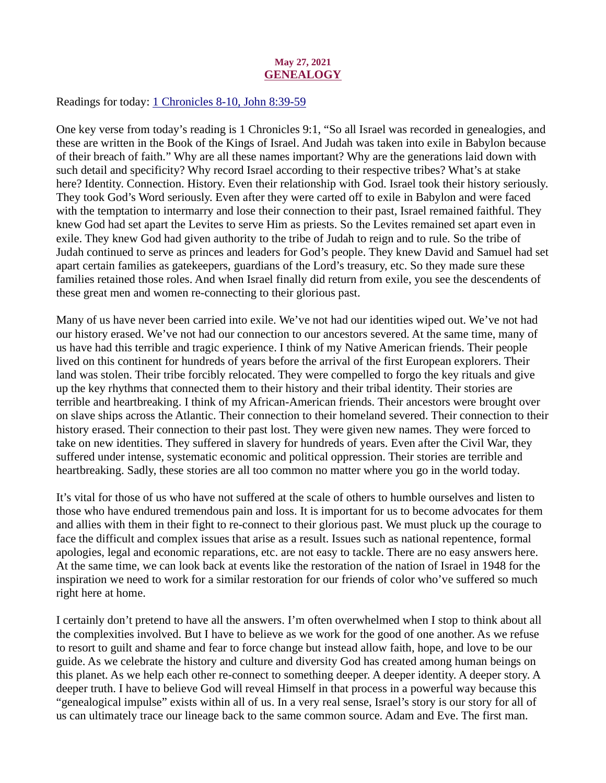## May 27, 2021 **GENEALOGY**

<span id="page-28-0"></span>Readings for today: [1 Chronicles 8-10, John 8:39-59](https://www.biblegateway.com/passage/?search=1+Chronicles+8-10%2C+John+8%3A39-59&version=ESV)

One key verse from today's reading is 1 Chronicles 9:1, "So all Israel was recorded in genealogies, and these are written in the Book of the Kings of Israel. And Judah was taken into exile in Babylon because of their breach of faith." Why are all these names important? Why are the generations laid down with such detail and specificity? Why record Israel according to their respective tribes? What's at stake here? Identity. Connection. History. Even their relationship with God. Israel took their history seriously. They took God's Word seriously. Even after they were carted off to exile in Babylon and were faced with the temptation to intermarry and lose their connection to their past, Israel remained faithful. They knew God had set apart the Levites to serve Him as priests. So the Levites remained set apart even in exile. They knew God had given authority to the tribe of Judah to reign and to rule. So the tribe of Judah continued to serve as princes and leaders for God's people. They knew David and Samuel had set apart certain families as gatekeepers, guardians of the Lord's treasury, etc. So they made sure these families retained those roles. And when Israel finally did return from exile, you see the descendents of these great men and women re-connecting to their glorious past.

Many of us have never been carried into exile. We've not had our identities wiped out. We've not had our history erased. We've not had our connection to our ancestors severed. At the same time, many of us have had this terrible and tragic experience. I think of my Native American friends. Their people lived on this continent for hundreds of years before the arrival of the first European explorers. Their land was stolen. Their tribe forcibly relocated. They were compelled to forgo the key rituals and give up the key rhythms that connected them to their history and their tribal identity. Their stories are terrible and heartbreaking. I think of my African-American friends. Their ancestors were brought over on slave ships across the Atlantic. Their connection to their homeland severed. Their connection to their history erased. Their connection to their past lost. They were given new names. They were forced to take on new identities. They suffered in slavery for hundreds of years. Even after the Civil War, they suffered under intense, systematic economic and political oppression. Their stories are terrible and heartbreaking. Sadly, these stories are all too common no matter where you go in the world today.

It's vital for those of us who have not suffered at the scale of others to humble ourselves and listen to those who have endured tremendous pain and loss. It is important for us to become advocates for them and allies with them in their fight to re-connect to their glorious past. We must pluck up the courage to face the difficult and complex issues that arise as a result. Issues such as national repentence, formal apologies, legal and economic reparations, etc. are not easy to tackle. There are no easy answers here. At the same time, we can look back at events like the restoration of the nation of Israel in 1948 for the inspiration we need to work for a similar restoration for our friends of color who've suffered so much right here at home.

I certainly don't pretend to have all the answers. I'm often overwhelmed when I stop to think about all the complexities involved. But I have to believe as we work for the good of one another. As we refuse to resort to guilt and shame and fear to force change but instead allow faith, hope, and love to be our guide. As we celebrate the history and culture and diversity God has created among human beings on this planet. As we help each other re-connect to something deeper. A deeper identity. A deeper story. A deeper truth. I have to believe God will reveal Himself in that process in a powerful way because this "genealogical impulse" exists within all of us. In a very real sense, Israel's story is our story for all of us can ultimately trace our lineage back to the same common source. Adam and Eve. The first man.